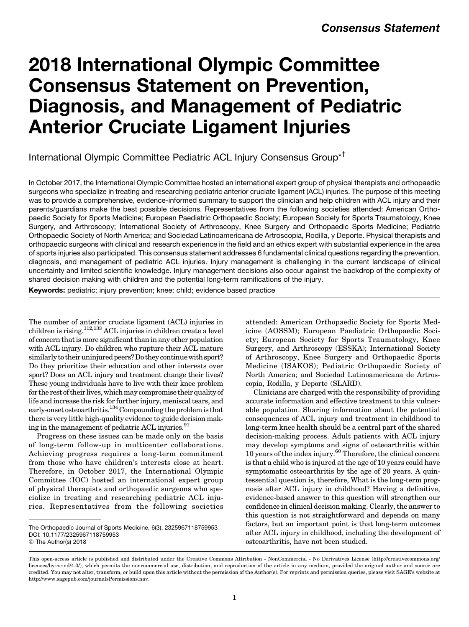# 2018 International Olympic Committee Consensus Statement on Prevention, Diagnosis, and Management of Pediatric Anterior Cruciate Ligament Injuries

International Olympic Committee Pediatric ACL Injury Consensus Group\*†

In October 2017, the International Olympic Committee hosted an international expert group of physical therapists and orthopaedic surgeons who specialize in treating and researching pediatric anterior cruciate ligament (ACL) injuries. The purpose of this meeting was to provide a comprehensive, evidence-informed summary to support the clinician and help children with ACL injury and their parents/guardians make the best possible decisions. Representatives from the following societies attended: American Orthopaedic Society for Sports Medicine; European Paediatric Orthopaedic Society; European Society for Sports Traumatology, Knee Surgery, and Arthroscopy; International Society of Arthroscopy, Knee Surgery and Orthopaedic Sports Medicine; Pediatric Orthopaedic Society of North America; and Sociedad Latinoamericana de Artroscopia, Rodilla, y Deporte. Physical therapists and orthopaedic surgeons with clinical and research experience in the field and an ethics expert with substantial experience in the area of sports injuries also participated. This consensus statement addresses 6 fundamental clinical questions regarding the prevention, diagnosis, and management of pediatric ACL injuries. Injury management is challenging in the current landscape of clinical uncertainty and limited scientific knowledge. Injury management decisions also occur against the backdrop of the complexity of shared decision making with children and the potential long-term ramifications of the injury.

Keywords: pediatric; injury prevention; knee; child; evidence based practice

The number of anterior cruciate ligament (ACL) injuries in children is rising.112,133 ACL injuries in children create a level of concern that is more significant than in any other population with ACL injury. Do children who rupture their ACL mature similarly to their uninjured peers? Do they continue with sport? Do they prioritize their education and other interests over sport? Does an ACL injury and treatment change their lives? These young individuals have to live with their knee problem for the rest of their lives, which may compromise their quality of life and increase the risk for further injury, meniscal tears, and early-onset osteoarthritis.<sup>134</sup> Compounding the problem is that there is very little high-quality evidence to guide decision making in the management of pediatric ACL injuries.<sup>91</sup>

Progress on these issues can be made only on the basis of long-term follow-up in multicenter collaborations. Achieving progress requires a long-term commitment from those who have children's interests close at heart. Therefore, in October 2017, the International Olympic Committee (IOC) hosted an international expert group of physical therapists and orthopaedic surgeons who specialize in treating and researching pediatric ACL injuries. Representatives from the following societies

attended: American Orthopaedic Society for Sports Medicine (AOSSM); European Paediatric Orthopaedic Society; European Society for Sports Traumatology, Knee Surgery, and Arthroscopy (ESSKA); International Society of Arthroscopy, Knee Surgery and Orthopaedic Sports Medicine (ISAKOS); Pediatric Orthopaedic Society of North America; and Sociedad Latinoamericana de Artroscopia, Rodilla, y Deporte (SLARD).

Clinicians are charged with the responsibility of providing accurate information and effective treatment to this vulnerable population. Sharing information about the potential consequences of ACL injury and treatment in childhood to long-term knee health should be a central part of the shared decision-making process. Adult patients with ACL injury may develop symptoms and signs of osteoarthritis within 10 years of the index injury.60 Therefore, the clinical concern is that a child who is injured at the age of 10 years could have symptomatic osteoarthritis by the age of 20 years. A quintessential question is, therefore, What is the long-term prognosis after ACL injury in childhood? Having a definitive, evidence-based answer to this question will strengthen our confidence in clinical decision making. Clearly, the answer to this question is not straightforward and depends on many factors, but an important point is that long-term outcomes after ACL injury in childhood, including the development of osteoarthritis, have not been studied.

The Orthopaedic Journal of Sports Medicine, 6(3), 2325967118759953 [DOI: 10.1177/2325967118759953](https://doi.org/10.1177/2325967118759953) © The Author(s) 2018

This open-access article is published and distributed under the Creative Commons Attribution - NonCommercial - No Derivatives License (http://creativecommons.org/ licenses/by-nc-nd/4.0/), which permits the noncommercial use, distribution, and reproduction of the article in any medium, provided the original author and source are credited. You may not alter, transform, or build upon this article without the permission of the Author(s). For reprints and permission queries, please visit SAGE's website at http://www.sagepub.com/journalsPermissions.nav.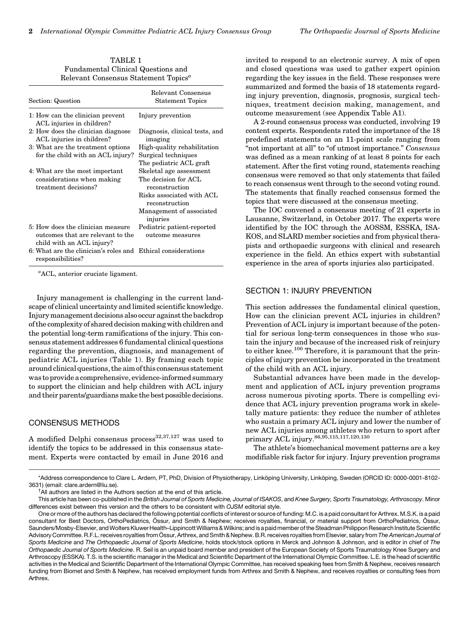| Section: Question                                                                 | Relevant Consensus<br><b>Statement Topics</b>  |
|-----------------------------------------------------------------------------------|------------------------------------------------|
| 1: How can the clinician prevent<br>ACL injuries in children?                     | Injury prevention                              |
| 2: How does the clinician diagnose<br>ACL injuries in children?                   | Diagnosis, clinical tests, and<br>imaging      |
| 3: What are the treatment options                                                 | High-quality rehabilitation                    |
| for the child with an ACL injury?                                                 | Surgical techniques                            |
|                                                                                   | The pediatric ACL graft                        |
| 4: What are the most important                                                    | Skeletal age assessment                        |
| considerations when making                                                        | The decision for ACL                           |
| treatment decisions?                                                              | reconstruction                                 |
|                                                                                   | Risks associated with ACL<br>reconstruction    |
|                                                                                   | Management of associated<br>injuries           |
| 5: How does the clinician measure<br>outcomes that are relevant to the            | Pediatric patient-reported<br>outcome measures |
| child with an ACL injury?                                                         |                                                |
| 6: What are the clinician's roles and Ethical considerations<br>responsibilities? |                                                |

TABLE 1 Fundamental Clinical Questions and Relevant Consensus Statement Topics<sup>a</sup>

a ACL, anterior cruciate ligament.

Injury management is challenging in the current landscape of clinical uncertainty and limited scientific knowledge. Injurymanagementdecisions also occur against the backdrop of the complexity of shared decision making with children and the potential long-term ramifications of the injury. This consensus statement addresses 6 fundamental clinical questions regarding the prevention, diagnosis, and management of pediatric ACL injuries (Table 1). By framing each topic around clinical questions, the aim of this consensus statement wastoprovidea comprehensive, evidence-informed summary to support the clinician and help children with ACL injury and their parents/guardians make the best possible decisions.

# CONSENSUS METHODS

A modified Delphi consensus process<sup>32,37,127</sup> was used to identify the topics to be addressed in this consensus statement. Experts were contacted by email in June 2016 and invited to respond to an electronic survey. A mix of open and closed questions was used to gather expert opinion regarding the key issues in the field. These responses were summarized and formed the basis of 18 statements regarding injury prevention, diagnosis, prognosis, surgical techniques, treatment decision making, management, and outcome measurement (see Appendix Table A1).

A 2-round consensus process was conducted, involving 19 content experts. Respondents rated the importance of the 18 predefined statements on an 11-point scale ranging from "not important at all" to "of utmost importance." Consensus was defined as a mean ranking of at least 8 points for each statement. After the first voting round, statements reaching consensus were removed so that only statements that failed to reach consensus went through to the second voting round. The statements that finally reached consensus formed the topics that were discussed at the consensus meeting.

The IOC convened a consensus meeting of 21 experts in Lausanne, Switzerland, in October 2017. The experts were identified by the IOC through the AOSSM, ESSKA, ISA-KOS, and SLARD member societies and from physical therapists and orthopaedic surgeons with clinical and research experience in the field. An ethics expert with substantial experience in the area of sports injuries also participated.

## SECTION 1: INJURY PREVENTION

This section addresses the fundamental clinical question, How can the clinician prevent ACL injuries in children? Prevention of ACL injury is important because of the potential for serious long-term consequences in those who sustain the injury and because of the increased risk of reinjury to either knee.<sup>100</sup> Therefore, it is paramount that the principles of injury prevention be incorporated in the treatment of the child with an ACL injury.

Substantial advances have been made in the development and application of ACL injury prevention programs across numerous pivoting sports. There is compelling evidence that ACL injury prevention programs work in skeletally mature patients: they reduce the number of athletes who sustain a primary ACL injury and lower the number of new ACL injuries among athletes who return to sport after primary ACL injury.86,95,115,117,120,130

The athlete's biomechanical movement patterns are a key modifiable risk factor for injury. Injury prevention programs

<sup>\*</sup>Address correspondence to Clare L. Ardern, PT, PhD, Division of Physiotherapy, Linköping University, Linköping, Sweden (ORCID ID: 0000-0001-8102-3631) (email: [clare.ardern@liu.se\)](mailto:clare.ardern@liu.se). †

<sup>&</sup>lt;sup>†</sup>All authors are listed in the Authors section at the end of this article.

This article has been co-published in the British Journal of Sports Medicine, Journal of ISAKOS, and Knee Surgery, Sports Traumatology, Arthroscopy. Minor differences exist between this version and the others to be consistent with OJSM editorial style.

One or more of the authors has declared the following potential conflicts of interest or source of funding: M.C. is a paid consultant for Arthrex. M.S.K. is a paid consultant for Best Doctors, OrthoPediatrics, Össur, and Smith & Nephew; receives royalties, financial, or material support from OrthoPediatrics, Össur, Saunders/Mosby-Elsevier, and Wolters Kluwer Health–Lippincott Williams & Wilkins; and is a paid member of the Steadman Philippon Research Institute Scientific Advisory Committee. R.F.L. receives royalties from Össur, Arthrex, and Smith & Nephew. B.R. receives royalties from Elsevier, salary from The American Journal of Sports Medicine and The Orthopaedic Journal of Sports Medicine, holds stock/stock options in Merck and Johnson & Johnson, and is editor in chief of The Orthopaedic Journal of Sports Medicine. R. Seil is an unpaid board member and president of the European Society of Sports Traumatology Knee Surgery and Arthroscopy (ESSKA). T.S. is the scientific manager in the Medical and Scientific Department of the International Olympic Committee. L.E. is the head of scientific activities in the Medical and Scientific Department of the International Olympic Committee, has received speaking fees from Smith & Nephew, receives research funding from Biomet and Smith & Nephew, has received employment funds from Arthrex and Smith & Nephew, and receives royalties or consulting fees from Arthrex.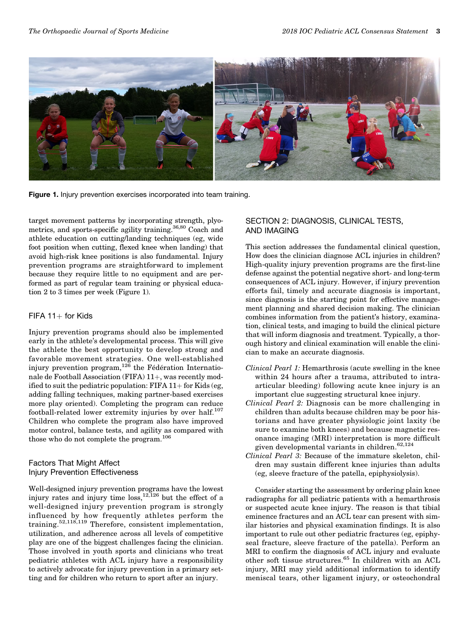

Figure 1. Injury prevention exercises incorporated into team training.

target movement patterns by incorporating strength, plyometrics, and sports-specific agility training.<sup>36,80</sup> Coach and athlete education on cutting/landing techniques (eg, wide foot position when cutting, flexed knee when landing) that avoid high-risk knee positions is also fundamental. Injury prevention programs are straightforward to implement because they require little to no equipment and are performed as part of regular team training or physical education 2 to 3 times per week (Figure 1).

## $FIFA 11+ for Kids$

Injury prevention programs should also be implemented early in the athlete's developmental process. This will give the athlete the best opportunity to develop strong and favorable movement strategies. One well-established injury prevention program,  $12\bar{6}$  the Fédération Internationale de Football Association (FIFA)  $11+$ , was recently modified to suit the pediatric population: FIFA  $11+$  for Kids (eg, adding falling techniques, making partner-based exercises more play oriented). Completing the program can reduce football-related lower extremity injuries by over half. $107$ Children who complete the program also have improved motor control, balance tests, and agility as compared with those who do not complete the program.<sup>106</sup>

# Factors That Might Affect Injury Prevention Effectiveness

Well-designed injury prevention programs have the lowest injury rates and injury time  $loss$ ,<sup>12,126</sup> but the effect of a well-designed injury prevention program is strongly influenced by how frequently athletes perform the training.<sup>52,118,119</sup> Therefore, consistent implementation, utilization, and adherence across all levels of competitive play are one of the biggest challenges facing the clinician. Those involved in youth sports and clinicians who treat pediatric athletes with ACL injury have a responsibility to actively advocate for injury prevention in a primary setting and for children who return to sport after an injury.

# SECTION 2: DIAGNOSIS, CLINICAL TESTS, AND IMAGING

This section addresses the fundamental clinical question, How does the clinician diagnose ACL injuries in children? High-quality injury prevention programs are the first-line defense against the potential negative short- and long-term consequences of ACL injury. However, if injury prevention efforts fail, timely and accurate diagnosis is important, since diagnosis is the starting point for effective management planning and shared decision making. The clinician combines information from the patient's history, examination, clinical tests, and imaging to build the clinical picture that will inform diagnosis and treatment. Typically, a thorough history and clinical examination will enable the clinician to make an accurate diagnosis.

- Clinical Pearl 1: Hemarthrosis (acute swelling in the knee within 24 hours after a trauma, attributed to intraarticular bleeding) following acute knee injury is an important clue suggesting structural knee injury.
- Clinical Pearl 2: Diagnosis can be more challenging in children than adults because children may be poor historians and have greater physiologic joint laxity (be sure to examine both knees) and because magnetic resonance imaging (MRI) interpretation is more difficult given developmental variants in children.<sup>62,124</sup>
- Clinical Pearl 3: Because of the immature skeleton, children may sustain different knee injuries than adults (eg, sleeve fracture of the patella, epiphysiolysis).

Consider starting the assessment by ordering plain knee radiographs for all pediatric patients with a hemarthrosis or suspected acute knee injury. The reason is that tibial eminence fractures and an ACL tear can present with similar histories and physical examination findings. It is also important to rule out other pediatric fractures (eg, epiphyseal fracture, sleeve fracture of the patella). Perform an MRI to confirm the diagnosis of ACL injury and evaluate other soft tissue structures.<sup>65</sup> In children with an ACL injury, MRI may yield additional information to identify meniscal tears, other ligament injury, or osteochondral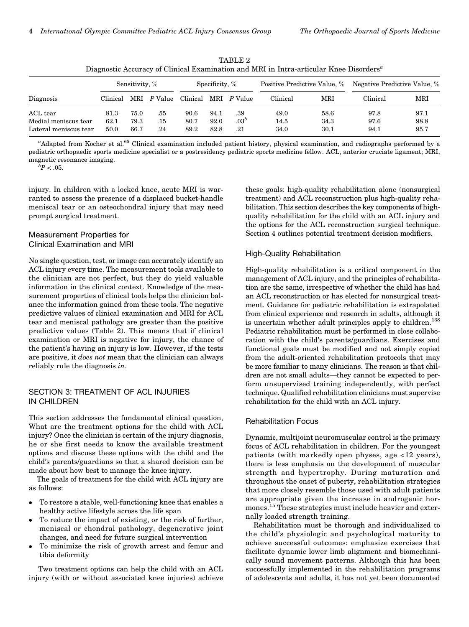|                                                                                                    |  |  | TARLE 2 |  |  |  |  |  |
|----------------------------------------------------------------------------------------------------|--|--|---------|--|--|--|--|--|
| Diagnostic Accuracy of Clinical Examination and MRI in Intra-articular Knee Disorders <sup>a</sup> |  |  |         |  |  |  |  |  |
|                                                                                                    |  |  |         |  |  |  |  |  |

|                       |          | Sensitivity, % |           | Specificity, $%$ |      | Positive Predictive Value, % |          | Negative Predictive Value, % |          |      |
|-----------------------|----------|----------------|-----------|------------------|------|------------------------------|----------|------------------------------|----------|------|
| Diagnosis             | Clinical | MRI            | $P$ Value | Clinical         | MRI  | <i>P</i> Value               | Clinical | MRI                          | Clinical | MRI  |
| ACL tear              | 81.3     | 75.0           | .55       | 90.6             | 94.1 | .39                          | 49.0     | 58.6                         | 97.8     | 97.1 |
| Medial meniscus tear  | 62.1     | 79.3           | .15       | 80.7             | 92.0 | .03 <sup>b</sup>             | 14.5     | 34.3                         | 97.6     | 98.8 |
| Lateral meniscus tear | 50.0     | 66.7           | .24       | 89.2             | 82.8 | .21                          | 34.0     | 30.1                         | 94.1     | 95.7 |

<sup>a</sup>Adapted from Kocher et al.<sup>65</sup> Clinical examination included patient history, physical examination, and radiographs performed by a pediatric orthopaedic sports medicine specialist or a postresidency pediatric sports medicine fellow. ACL, anterior cruciate ligament; MRI, magnetic resonance imaging.

 ${}^{\bar{b}}P<.05.$ 

injury. In children with a locked knee, acute MRI is warranted to assess the presence of a displaced bucket-handle meniscal tear or an osteochondral injury that may need prompt surgical treatment.

## Measurement Properties for Clinical Examination and MRI

No single question, test, or image can accurately identify an ACL injury every time. The measurement tools available to the clinician are not perfect, but they do yield valuable information in the clinical context. Knowledge of the measurement properties of clinical tools helps the clinician balance the information gained from these tools. The negative predictive values of clinical examination and MRI for ACL tear and meniscal pathology are greater than the positive predictive values (Table 2). This means that if clinical examination or MRI is negative for injury, the chance of the patient's having an injury is low. However, if the tests are positive, it does not mean that the clinician can always reliably rule the diagnosis in.

## SECTION 3: TREATMENT OF ACL INJURIES IN CHILDREN

This section addresses the fundamental clinical question, What are the treatment options for the child with ACL injury? Once the clinician is certain of the injury diagnosis, he or she first needs to know the available treatment options and discuss these options with the child and the child's parents/guardians so that a shared decision can be made about how best to manage the knee injury.

The goals of treatment for the child with ACL injury are as follows:

- $\bullet$  To restore a stable, well-functioning knee that enables a healthy active lifestyle across the life span
- $\bullet$  To reduce the impact of existing, or the risk of further, meniscal or chondral pathology, degenerative joint changes, and need for future surgical intervention
- $\bullet$  To minimize the risk of growth arrest and femur and tibia deformity

Two treatment options can help the child with an ACL injury (with or without associated knee injuries) achieve these goals: high-quality rehabilitation alone (nonsurgical treatment) and ACL reconstruction plus high-quality rehabilitation. This section describes the key components of highquality rehabilitation for the child with an ACL injury and the options for the ACL reconstruction surgical technique. Section 4 outlines potential treatment decision modifiers.

## High-Quality Rehabilitation

High-quality rehabilitation is a critical component in the management of ACL injury, and the principles of rehabilitation are the same, irrespective of whether the child has had an ACL reconstruction or has elected for nonsurgical treatment. Guidance for pediatric rehabilitation is extrapolated from clinical experience and research in adults, although it is uncertain whether adult principles apply to children.<sup>138</sup> Pediatric rehabilitation must be performed in close collaboration with the child's parents/guardians. Exercises and functional goals must be modified and not simply copied from the adult-oriented rehabilitation protocols that may be more familiar to many clinicians. The reason is that children are not small adults—they cannot be expected to perform unsupervised training independently, with perfect technique. Qualified rehabilitation clinicians must supervise rehabilitation for the child with an ACL injury.

#### Rehabilitation Focus

Dynamic, multijoint neuromuscular control is the primary focus of ACL rehabilitation in children. For the youngest patients (with markedly open physes, age <12 years), there is less emphasis on the development of muscular strength and hypertrophy. During maturation and throughout the onset of puberty, rehabilitation strategies that more closely resemble those used with adult patients are appropriate given the increase in androgenic hormones.<sup>15</sup> These strategies must include heavier and externally loaded strength training.

Rehabilitation must be thorough and individualized to the child's physiologic and psychological maturity to achieve successful outcomes: emphasize exercises that facilitate dynamic lower limb alignment and biomechanically sound movement patterns. Although this has been successfully implemented in the rehabilitation programs of adolescents and adults, it has not yet been documented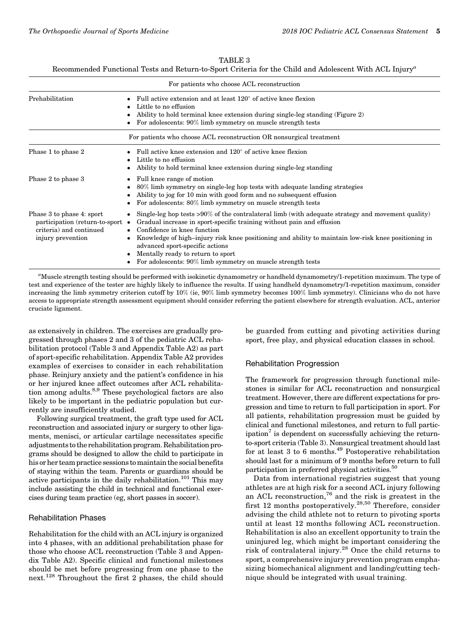| TABLE : | З |
|---------|---|
|---------|---|

Recommended Functional Tests and Return-to-Sport Criteria for the Child and Adolescent With ACL Injury<sup>a</sup>

| For patients who choose ACL reconstruction                                                                    |                                                                                                                                                                                                                                                                                                                                                                                                                                                                                      |  |  |  |
|---------------------------------------------------------------------------------------------------------------|--------------------------------------------------------------------------------------------------------------------------------------------------------------------------------------------------------------------------------------------------------------------------------------------------------------------------------------------------------------------------------------------------------------------------------------------------------------------------------------|--|--|--|
| Prehabilitation                                                                                               | Full active extension and at least 120° of active knee flexion<br>Little to no effusion<br>Ability to hold terminal knee extension during single-leg standing (Figure 2)<br>For adolescents: 90% limb symmetry on muscle strength tests                                                                                                                                                                                                                                              |  |  |  |
|                                                                                                               | For patients who choose ACL reconstruction OR nonsurgical treatment                                                                                                                                                                                                                                                                                                                                                                                                                  |  |  |  |
| Phase 1 to phase 2                                                                                            | Full active knee extension and $120^{\circ}$ of active knee flexion<br>Little to no effusion<br>Ability to hold terminal knee extension during single-leg standing<br>٠                                                                                                                                                                                                                                                                                                              |  |  |  |
| Phase 2 to phase 3                                                                                            | Full knee range of motion<br>80% limb symmetry on single-leg hop tests with adequate landing strategies<br>Ability to jog for 10 min with good form and no subsequent effusion<br>For adolescents: 80% limb symmetry on muscle strength tests                                                                                                                                                                                                                                        |  |  |  |
| Phase 3 to phase 4: sport<br>participation (return-to-sport •<br>criteria) and continued<br>injury prevention | Single-leg hop tests $>90\%$ of the contralateral limb (with adequate strategy and movement quality)<br>$\bullet$<br>Gradual increase in sport-specific training without pain and effusion<br>Confidence in knee function<br>Knowledge of high-injury risk knee positioning and ability to maintain low-risk knee positioning in<br>$\bullet$<br>advanced sport-specific actions<br>Mentally ready to return to sport<br>For adolescents: 90% limb symmetry on muscle strength tests |  |  |  |

a Muscle strength testing should be performed with isokinetic dynamometry or handheld dynamometry/1-repetition maximum. The type of test and experience of the tester are highly likely to influence the results. If using handheld dynamometry/1-repetition maximum, consider increasing the limb symmetry criterion cutoff by 10% (ie, 90% limb symmetry becomes 100% limb symmetry). Clinicians who do not have access to appropriate strength assessment equipment should consider referring the patient elsewhere for strength evaluation. ACL, anterior cruciate ligament.

as extensively in children. The exercises are gradually progressed through phases 2 and 3 of the pediatric ACL rehabilitation protocol (Table 3 and Appendix Table A2) as part of sport-specific rehabilitation. Appendix Table A2 provides examples of exercises to consider in each rehabilitation phase. Reinjury anxiety and the patient's confidence in his or her injured knee affect outcomes after ACL rehabilitation among adults.<sup>8,9</sup> These psychological factors are also likely to be important in the pediatric population but currently are insufficiently studied.

Following surgical treatment, the graft type used for ACL reconstruction and associated injury or surgery to other ligaments, menisci, or articular cartilage necessitates specific adjustments to the rehabilitation program. Rehabilitation programs should be designed to allow the child to participate in his or her team practice sessions to maintain the social benefits of staying within the team. Parents or guardians should be active participants in the daily rehabilitation.<sup>101</sup> This may include assisting the child in technical and functional exercises during team practice (eg, short passes in soccer).

#### Rehabilitation Phases

Rehabilitation for the child with an ACL injury is organized into 4 phases, with an additional prehabilitation phase for those who choose ACL reconstruction (Table 3 and Appendix Table A2). Specific clinical and functional milestones should be met before progressing from one phase to the next.<sup>128</sup> Throughout the first 2 phases, the child should be guarded from cutting and pivoting activities during sport, free play, and physical education classes in school.

#### Rehabilitation Progression

The framework for progression through functional milestones is similar for ACL reconstruction and nonsurgical treatment. However, there are different expectations for progression and time to return to full participation in sport. For all patients, rehabilitation progression must be guided by clinical and functional milestones, and return to full participation<sup>7</sup> is dependent on successfully achieving the returnto-sport criteria (Table 3). Nonsurgical treatment should last for at least 3 to 6 months.<sup>49</sup> Postoperative rehabilitation should last for a minimum of 9 months before return to full participation in preferred physical activities.<sup>50</sup>

Data from international registries suggest that young athletes are at high risk for a second ACL injury following an ACL reconstruction,  $76$  and the risk is greatest in the first 12 months postoperatively.<sup>28,50</sup> Therefore, consider advising the child athlete not to return to pivoting sports until at least 12 months following ACL reconstruction. Rehabilitation is also an excellent opportunity to train the uninjured leg, which might be important considering the risk of contralateral injury.<sup>28</sup> Once the child returns to sport, a comprehensive injury prevention program emphasizing biomechanical alignment and landing/cutting technique should be integrated with usual training.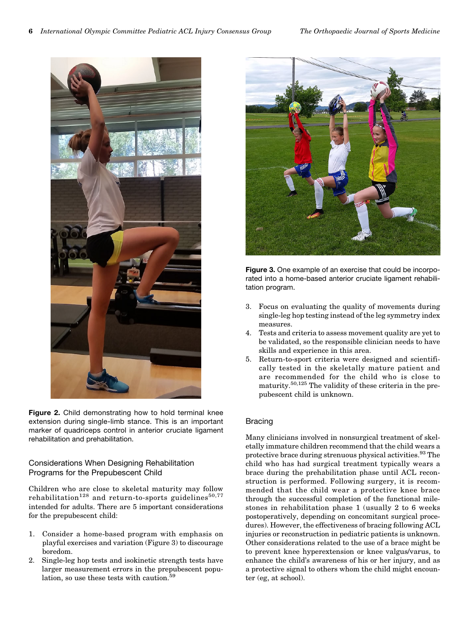

Figure 2. Child demonstrating how to hold terminal knee extension during single-limb stance. This is an important marker of quadriceps control in anterior cruciate ligament rehabilitation and prehabilitation.

# Considerations When Designing Rehabilitation Programs for the Prepubescent Child

Children who are close to skeletal maturity may follow rehabilitation<sup>128</sup> and return-to-sports guidelines<sup>50,77</sup> intended for adults. There are 5 important considerations for the prepubescent child:

- 1. Consider a home-based program with emphasis on playful exercises and variation (Figure 3) to discourage boredom.
- 2. Single-leg hop tests and isokinetic strength tests have larger measurement errors in the prepubescent population, so use these tests with caution.<sup>5</sup>



Figure 3. One example of an exercise that could be incorporated into a home-based anterior cruciate ligament rehabilitation program.

- 3. Focus on evaluating the quality of movements during single-leg hop testing instead of the leg symmetry index measures.
- 4. Tests and criteria to assess movement quality are yet to be validated, so the responsible clinician needs to have skills and experience in this area.
- 5. Return-to-sport criteria were designed and scientifically tested in the skeletally mature patient and are recommended for the child who is close to maturity.50,125 The validity of these criteria in the prepubescent child is unknown.

# Bracing

Many clinicians involved in nonsurgical treatment of skeletally immature children recommend that the child wears a protective brace during strenuous physical activities.<sup>93</sup> The child who has had surgical treatment typically wears a brace during the prehabilitation phase until ACL reconstruction is performed. Following surgery, it is recommended that the child wear a protective knee brace through the successful completion of the functional milestones in rehabilitation phase 1 (usually 2 to 6 weeks postoperatively, depending on concomitant surgical procedures). However, the effectiveness of bracing following ACL injuries or reconstruction in pediatric patients is unknown. Other considerations related to the use of a brace might be to prevent knee hyperextension or knee valgus/varus, to enhance the child's awareness of his or her injury, and as a protective signal to others whom the child might encounter (eg, at school).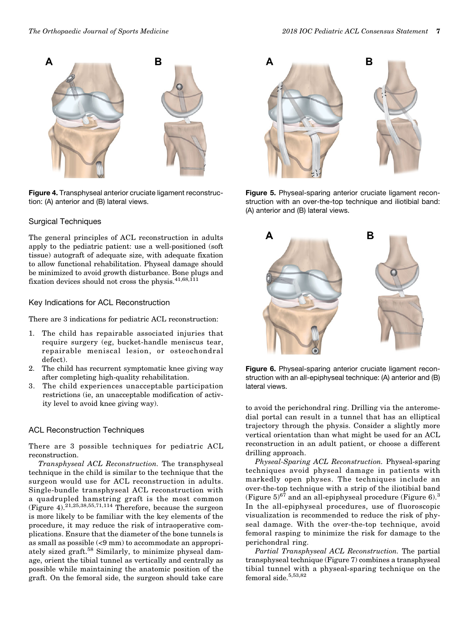

Figure 4. Transphyseal anterior cruciate ligament reconstruction: (A) anterior and (B) lateral views.

### Surgical Techniques

The general principles of ACL reconstruction in adults apply to the pediatric patient: use a well-positioned (soft tissue) autograft of adequate size, with adequate fixation to allow functional rehabilitation. Physeal damage should be minimized to avoid growth disturbance. Bone plugs and fixation devices should not cross the physis.41,68,111

## Key Indications for ACL Reconstruction

There are 3 indications for pediatric ACL reconstruction:

- 1. The child has repairable associated injuries that require surgery (eg, bucket-handle meniscus tear, repairable meniscal lesion, or osteochondral defect).
- 2. The child has recurrent symptomatic knee giving way after completing high-quality rehabilitation.
- 3. The child experiences unacceptable participation restrictions (ie, an unacceptable modification of activity level to avoid knee giving way).

#### ACL Reconstruction Techniques

There are 3 possible techniques for pediatric ACL reconstruction.

Transphyseal ACL Reconstruction. The transphyseal technique in the child is similar to the technique that the surgeon would use for ACL reconstruction in adults. Single-bundle transphyseal ACL reconstruction with a quadrupled hamstring graft is the most common (Figure 4).<sup>21,25,38,55,71,114</sup> Therefore, because the surgeon is more likely to be familiar with the key elements of the procedure, it may reduce the risk of intraoperative complications. Ensure that the diameter of the bone tunnels is as small as possible (<9 mm) to accommodate an appropriately sized graft.<sup>58</sup> Similarly, to minimize physeal damage, orient the tibial tunnel as vertically and centrally as possible while maintaining the anatomic position of the graft. On the femoral side, the surgeon should take care



Figure 5. Physeal-sparing anterior cruciate ligament reconstruction with an over-the-top technique and iliotibial band: (A) anterior and (B) lateral views.



Figure 6. Physeal-sparing anterior cruciate ligament reconstruction with an all-epiphyseal technique: (A) anterior and (B) lateral views.

to avoid the perichondral ring. Drilling via the anteromedial portal can result in a tunnel that has an elliptical trajectory through the physis. Consider a slightly more vertical orientation than what might be used for an ACL reconstruction in an adult patient, or choose a different drilling approach.

Physeal-Sparing ACL Reconstruction. Physeal-sparing techniques avoid physeal damage in patients with markedly open physes. The techniques include an over-the-top technique with a strip of the iliotibial band (Figure  $5)^{67}$  and an all-epiphyseal procedure (Figure 6).<sup>3</sup> In the all-epiphyseal procedures, use of fluoroscopic visualization is recommended to reduce the risk of physeal damage. With the over-the-top technique, avoid femoral rasping to minimize the risk for damage to the perichondral ring.

Partial Transphyseal ACL Reconstruction. The partial transphyseal technique (Figure 7) combines a transphyseal tibial tunnel with a physeal-sparing technique on the femoral side. $5,53,82$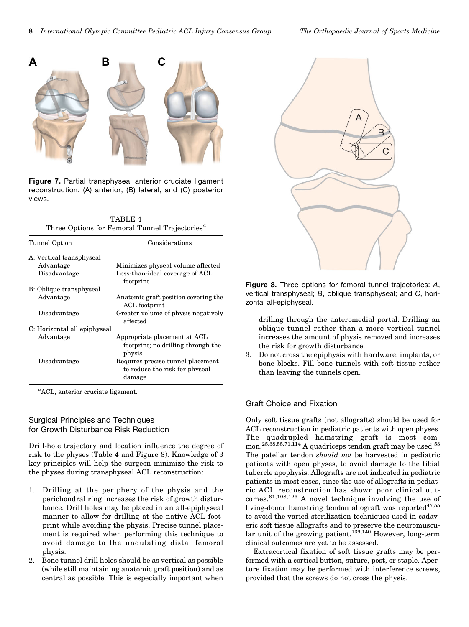

Figure 7. Partial transphyseal anterior cruciate ligament reconstruction: (A) anterior, (B) lateral, and (C) posterior views.

TABLE 4 Three Options for Femoral Tunnel Trajectories<sup> $a$ </sup>

| Tunnel Option                | Considerations                                        |
|------------------------------|-------------------------------------------------------|
| A: Vertical transphyseal     |                                                       |
| Advantage                    | Minimizes physeal volume affected                     |
| Disadvantage                 | Less-than-ideal coverage of ACL<br>footprint          |
| B: Oblique transphyseal      |                                                       |
| Advantage                    | Anatomic graft position covering the<br>ACL footprint |
| Disadvantage                 | Greater volume of physis negatively<br>affected       |
| C: Horizontal all epiphyseal |                                                       |
| Advantage                    | Appropriate placement at ACL                          |
|                              | footprint; no drilling through the<br>physis          |
| Disadvantage                 | Requires precise tunnel placement                     |
|                              | to reduce the risk for physeal                        |
|                              | damage                                                |

a ACL, anterior cruciate ligament.

#### Surgical Principles and Techniques for Growth Disturbance Risk Reduction

Drill-hole trajectory and location influence the degree of risk to the physes (Table 4 and Figure 8). Knowledge of 3 key principles will help the surgeon minimize the risk to the physes during transphyseal ACL reconstruction:

- 1. Drilling at the periphery of the physis and the perichondral ring increases the risk of growth disturbance. Drill holes may be placed in an all-epiphyseal manner to allow for drilling at the native ACL footprint while avoiding the physis. Precise tunnel placement is required when performing this technique to avoid damage to the undulating distal femoral physis.
- 2. Bone tunnel drill holes should be as vertical as possible (while still maintaining anatomic graft position) and as central as possible. This is especially important when



Figure 8. Three options for femoral tunnel trajectories: A, vertical transphyseal; B, oblique transphyseal; and C, horizontal all-epiphyseal.

drilling through the anteromedial portal. Drilling an oblique tunnel rather than a more vertical tunnel increases the amount of physis removed and increases the risk for growth disturbance.

3. Do not cross the epiphysis with hardware, implants, or bone blocks. Fill bone tunnels with soft tissue rather than leaving the tunnels open.

## Graft Choice and Fixation

Only soft tissue grafts (not allografts) should be used for ACL reconstruction in pediatric patients with open physes. The quadrupled hamstring graft is most common.<sup>25,38,55,71,114</sup> A quadriceps tendon graft may be used.<sup>53</sup> The patellar tendon should not be harvested in pediatric patients with open physes, to avoid damage to the tibial tubercle apophysis. Allografts are not indicated in pediatric patients in most cases, since the use of allografts in pediatric ACL reconstruction has shown poor clinical outcomes.61,108,123 A novel technique involving the use of living-donor hamstring tendon allograft was reported $47,55$ to avoid the varied sterilization techniques used in cadaveric soft tissue allografts and to preserve the neuromuscular unit of the growing patient.<sup>139,140</sup> However, long-term clinical outcomes are yet to be assessed.

Extracortical fixation of soft tissue grafts may be performed with a cortical button, suture, post, or staple. Aperture fixation may be performed with interference screws, provided that the screws do not cross the physis.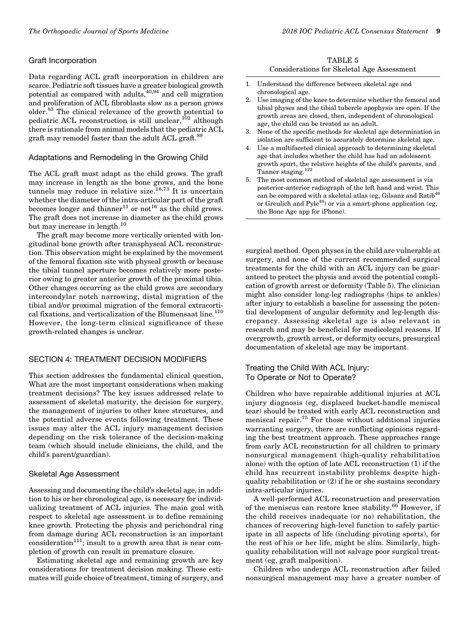#### Graft Incorporation

Data regarding ACL graft incorporation in children are scarce. Pediatric soft tissues have a greater biological growth potential as compared with adults, $40,94$  and cell migration and proliferation of ACL fibroblasts slow as a person grows older.<sup>83</sup> The clinical relevance of the growth potential to pediatric ACL reconstruction is still unclear,  $^{102}$  although there is rationale from animal models that the pediatric ACL graft may remodel faster than the adult ACL graft.<sup>89</sup>

## Adaptations and Remodeling in the Growing Child

The ACL graft must adapt as the child grows. The graft may increase in length as the bone grows, and the bone tunnels may reduce in relative size.<sup>16,73</sup> It is uncertain whether the diameter of the intra-articular part of the graft becomes longer and thinner<sup>11</sup> or not<sup>16</sup> as the child grows. The graft does not increase in diameter as the child grows but may increase in length.<sup>10</sup>

The graft may become more vertically oriented with longitudinal bone growth after transphyseal ACL reconstruction. This observation might be explained by the movement of the femoral fixation site with physeal growth or because the tibial tunnel aperture becomes relatively more posterior owing to greater anterior growth of the proximal tibia. Other changes occurring as the child grows are secondary intercondylar notch narrowing, distal migration of the tibial and/or proximal migration of the femoral extracortical fixations, and verticalization of the Blumensaat line. $110$ However, the long-term clinical significance of these growth-related changes is unclear.

# SECTION 4: TREATMENT DECISION MODIFIERS

This section addresses the fundamental clinical question, What are the most important considerations when making treatment decisions? The key issues addressed relate to assessment of skeletal maturity, the decision for surgery, the management of injuries to other knee structures, and the potential adverse events following treatment. These issues may alter the ACL injury management decision depending on the risk tolerance of the decision-making team (which should include clinicians, the child, and the child's parent/guardian).

#### Skeletal Age Assessment

Assessing and documenting the child's skeletal age, in addition to his or her chronological age, is necessary for individualizing treatment of ACL injuries. The main goal with respect to skeletal age assessment is to define remaining knee growth. Protecting the physis and perichondral ring from damage during ACL reconstruction is an important consideration<sup>111</sup>; insult to a growth area that is near completion of growth can result in premature closure.

Estimating skeletal age and remaining growth are key considerations for treatment decision making. These estimates will guide choice of treatment, timing of surgery, and

TABLE 5 Considerations for Skeletal Age Assessment

- 1. Understand the difference between skeletal age and chronological age.
- 2. Use imaging of the knee to determine whether the femoral and tibial physes and the tibial tubercle apophysis are open. If the growth areas are closed, then, independent of chronological age, the child can be treated as an adult.
- 3. None of the specific methods for skeletal age determination in isolation are sufficient to accurately determine skeletal age.
- 4. Use a multifaceted clinical approach to determining skeletal age that includes whether the child has had an adolescent growth spurt, the relative heights of the child's parents, and Tanner staging.<sup>122</sup>
- The most common method of skeletal age assessment is via posterior-anterior radiograph of the left hand and wrist. This can be compared with a skeletal atlas (eg, Gilsanz and Ratib $^{46}$ or Greulich and Pyle $^{48}$ ) or via a smart-phone application (eg, the Bone Age app for iPhone).

surgical method. Open physes in the child are vulnerable at surgery, and none of the current recommended surgical treatments for the child with an ACL injury can be guaranteed to protect the physis and avoid the potential complication of growth arrest or deformity (Table 5). The clinician might also consider long-leg radiographs (hips to ankles) after injury to establish a baseline for assessing the potential development of angular deformity and leg-length discrepancy. Assessing skeletal age is also relevant in research and may be beneficial for medicolegal reasons. If overgrowth, growth arrest, or deformity occurs, presurgical documentation of skeletal age may be important.

# Treating the Child With ACL Injury: To Operate or Not to Operate?

Children who have repairable additional injuries at ACL injury diagnosis (eg, displaced bucket-handle meniscal tear) should be treated with early ACL reconstruction and meniscal repair.<sup>75</sup> For those without additional injuries warranting surgery, there are conflicting opinions regarding the best treatment approach. These approaches range from early ACL reconstruction for all children to primary nonsurgical management (high-quality rehabilitation alone) with the option of late ACL reconstruction (1) if the child has recurrent instability problems despite highquality rehabilitation or (2) if he or she sustains secondary intra-articular injuries.

A well-performed ACL reconstruction and preservation of the meniscus can restore knee stability. $^{66}$  However, if the child receives inadequate (or no) rehabilitation, the chances of recovering high-level function to safely participate in all aspects of life (including pivoting sports), for the rest of his or her life, might be slim. Similarly, highquality rehabilitation will not salvage poor surgical treatment (eg, graft malposition).

Children who undergo ACL reconstruction after failed nonsurgical management may have a greater number of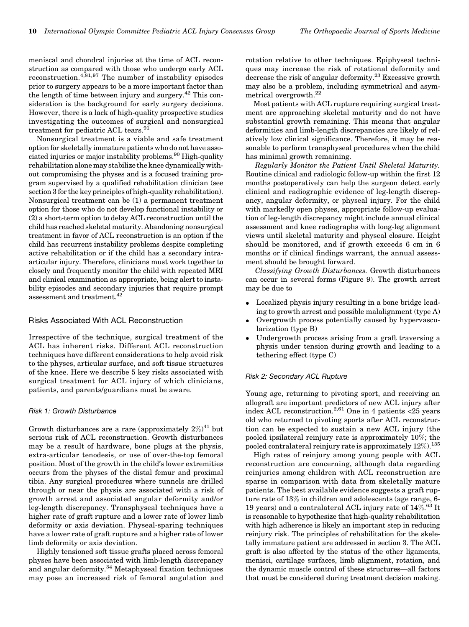meniscal and chondral injuries at the time of ACL reconstruction as compared with those who undergo early ACL reconstruction.4,81,97 The number of instability episodes prior to surgery appears to be a more important factor than the length of time between injury and surgery.<sup>42</sup> This consideration is the background for early surgery decisions. However, there is a lack of high-quality prospective studies investigating the outcomes of surgical and nonsurgical treatment for pediatric ACL tears.<sup>91</sup>

Nonsurgical treatment is a viable and safe treatment option for skeletally immature patients who do not have associated injuries or major instability problems.<sup>90</sup> High-quality rehabilitation alone may stabilize the knee dynamically without compromising the physes and is a focused training program supervised by a qualified rehabilitation clinician (see section 3 for the key principles of high-quality rehabilitation). Nonsurgical treatment can be (1) a permanent treatment option for those who do not develop functional instability or (2) a short-term option to delay ACL reconstruction until the child has reached skeletal maturity. Abandoning nonsurgical treatment in favor of ACL reconstruction is an option if the child has recurrent instability problems despite completing active rehabilitation or if the child has a secondary intraarticular injury. Therefore, clinicians must work together to closely and frequently monitor the child with repeated MRI and clinical examination as appropriate, being alert to instability episodes and secondary injuries that require prompt assessment and treatment.42

## Risks Associated With ACL Reconstruction

Irrespective of the technique, surgical treatment of the ACL has inherent risks. Different ACL reconstruction techniques have different considerations to help avoid risk to the physes, articular surface, and soft tissue structures of the knee. Here we describe 5 key risks associated with surgical treatment for ACL injury of which clinicians, patients, and parents/guardians must be aware.

#### Risk 1: Growth Disturbance

Growth disturbances are a rare (approximately  $2\%)^{41}$  but serious risk of ACL reconstruction. Growth disturbances may be a result of hardware, bone plugs at the physis, extra-articular tenodesis, or use of over-the-top femoral position. Most of the growth in the child's lower extremities occurs from the physes of the distal femur and proximal tibia. Any surgical procedures where tunnels are drilled through or near the physis are associated with a risk of growth arrest and associated angular deformity and/or leg-length discrepancy. Transphyseal techniques have a higher rate of graft rupture and a lower rate of lower limb deformity or axis deviation. Physeal-sparing techniques have a lower rate of graft rupture and a higher rate of lower limb deformity or axis deviation.

Highly tensioned soft tissue grafts placed across femoral physes have been associated with limb-length discrepancy and angular deformity.<sup>34</sup> Metaphyseal fixation techniques may pose an increased risk of femoral angulation and rotation relative to other techniques. Epiphyseal techniques may increase the risk of rotational deformity and decrease the risk of angular deformity.<sup>23</sup> Excessive growth may also be a problem, including symmetrical and asymmetrical overgrowth.<sup>22</sup>

Most patients with ACL rupture requiring surgical treatment are approaching skeletal maturity and do not have substantial growth remaining. This means that angular deformities and limb-length discrepancies are likely of relatively low clinical significance. Therefore, it may be reasonable to perform transphyseal procedures when the child has minimal growth remaining.

Regularly Monitor the Patient Until Skeletal Maturity. Routine clinical and radiologic follow-up within the first 12 months postoperatively can help the surgeon detect early clinical and radiographic evidence of leg-length discrepancy, angular deformity, or physeal injury. For the child with markedly open physes, appropriate follow-up evaluation of leg-length discrepancy might include annual clinical assessment and knee radiographs with long-leg alignment views until skeletal maturity and physeal closure. Height should be monitored, and if growth exceeds 6 cm in 6 months or if clinical findings warrant, the annual assessment should be brought forward.

Classifying Growth Disturbances. Growth disturbances can occur in several forms (Figure 9). The growth arrest may be due to

- Localized physis injury resulting in a bone bridge leading to growth arrest and possible malalignment (type A)
- $\bullet$  Overgrowth process potentially caused by hypervascularization (type B)
- $\bullet$  Undergrowth process arising from a graft traversing a physis under tension during growth and leading to a tethering effect (type C)

#### Risk 2: Secondary ACL Rupture

Young age, returning to pivoting sport, and receiving an allograft are important predictors of new ACL injury after index ACL reconstruction.<sup>2,61</sup> One in 4 patients  $\lt 25$  years old who returned to pivoting sports after ACL reconstruction can be expected to sustain a new ACL injury (the pooled ipsilateral reinjury rate is approximately 10%; the pooled contralateral reinjury rate is approximately  $12\%$ ).<sup>135</sup>

High rates of reinjury among young people with ACL reconstruction are concerning, although data regarding reinjuries among children with ACL reconstruction are sparse in comparison with data from skeletally mature patients. The best available evidence suggests a graft rupture rate of 13% in children and adolescents (age range, 6- 19 years) and a contralateral ACL injury rate of  $14\%$ .<sup>63</sup> It is reasonable to hypothesize that high-quality rehabilitation with high adherence is likely an important step in reducing reinjury risk. The principles of rehabilitation for the skeletally immature patient are addressed in section 3. The ACL graft is also affected by the status of the other ligaments, menisci, cartilage surfaces, limb alignment, rotation, and the dynamic muscle control of these structures—all factors that must be considered during treatment decision making.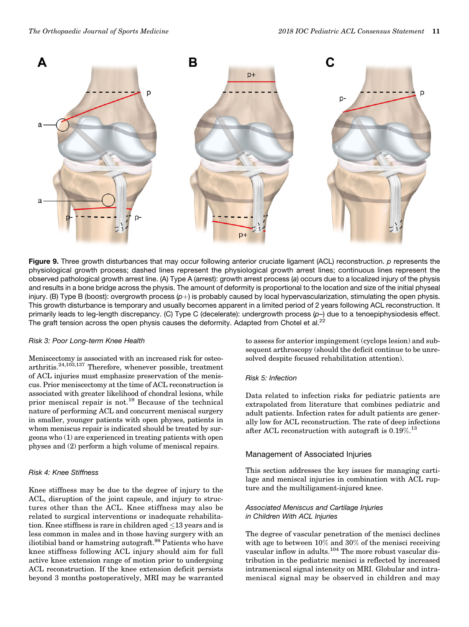

Figure 9. Three growth disturbances that may occur following anterior cruciate ligament (ACL) reconstruction. p represents the physiological growth process; dashed lines represent the physiological growth arrest lines; continuous lines represent the observed pathological growth arrest line. (A) Type A (arrest): growth arrest process (a) occurs due to a localized injury of the physis and results in a bone bridge across the physis. The amount of deformity is proportional to the location and size of the initial physeal injury. (B) Type B (boost): overgrowth process  $(p+)$  is probably caused by local hypervascularization, stimulating the open physis. This growth disturbance is temporary and usually becomes apparent in a limited period of 2 years following ACL reconstruction. It primarily leads to leg-length discrepancy. (C) Type C (decelerate): undergrowth process (p–) due to a tenoepiphysiodesis effect. The graft tension across the open physis causes the deformity. Adapted from Chotel et al.<sup>22</sup>

#### Risk 3: Poor Long-term Knee Health

Meniscectomy is associated with an increased risk for osteoarthritis.24,103,137 Therefore, whenever possible, treatment of ACL injuries must emphasize preservation of the meniscus. Prior meniscectomy at the time of ACL reconstruction is associated with greater likelihood of chondral lesions, while prior meniscal repair is not.<sup>19</sup> Because of the technical nature of performing ACL and concurrent meniscal surgery in smaller, younger patients with open physes, patients in whom meniscus repair is indicated should be treated by surgeons who (1) are experienced in treating patients with open physes and (2) perform a high volume of meniscal repairs.

#### Risk 4: Knee Stiffness

Knee stiffness may be due to the degree of injury to the ACL, disruption of the joint capsule, and injury to structures other than the ACL. Knee stiffness may also be related to surgical interventions or inadequate rehabilitation. Knee stiffness is rare in children aged  $\leq$  13 years and is less common in males and in those having surgery with an iliotibial band or hamstring autograft.<sup>98</sup> Patients who have knee stiffness following ACL injury should aim for full active knee extension range of motion prior to undergoing ACL reconstruction. If the knee extension deficit persists beyond 3 months postoperatively, MRI may be warranted to assess for anterior impingement (cyclops lesion) and subsequent arthroscopy (should the deficit continue to be unresolved despite focused rehabilitation attention).

# Risk 5: Infection

Data related to infection risks for pediatric patients are extrapolated from literature that combines pediatric and adult patients. Infection rates for adult patients are generally low for ACL reconstruction. The rate of deep infections after ACL reconstruction with autograft is 0.19%.<sup>13</sup>

# Management of Associated Injuries

This section addresses the key issues for managing cartilage and meniscal injuries in combination with ACL rupture and the multiligament-injured knee.

## Associated Meniscus and Cartilage Injuries in Children With ACL Injuries

The degree of vascular penetration of the menisci declines with age to between 10% and 30% of the menisci receiving vascular inflow in adults.<sup>104</sup> The more robust vascular distribution in the pediatric menisci is reflected by increased intrameniscal signal intensity on MRI. Globular and intrameniscal signal may be observed in children and may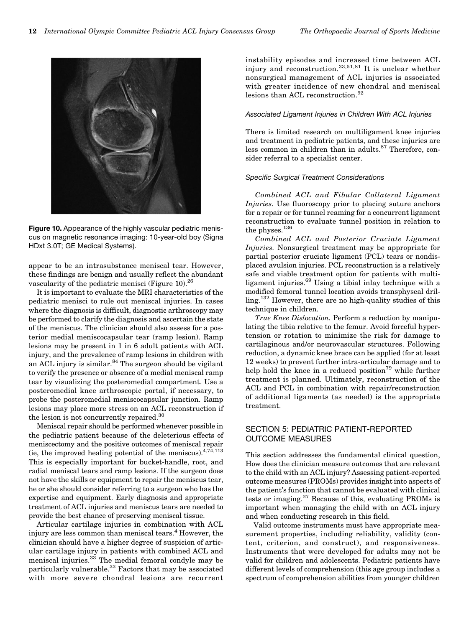

Figure 10. Appearance of the highly vascular pediatric meniscus on magnetic resonance imaging: 10-year-old boy (Signa HDxt 3.0T; GE Medical Systems).

appear to be an intrasubstance meniscal tear. However, these findings are benign and usually reflect the abundant vascularity of the pediatric menisci (Figure 10). $^{26}$ 

It is important to evaluate the MRI characteristics of the pediatric menisci to rule out meniscal injuries. In cases where the diagnosis is difficult, diagnostic arthroscopy may be performed to clarify the diagnosis and ascertain the state of the meniscus. The clinician should also assess for a posterior medial meniscocapsular tear (ramp lesion). Ramp lesions may be present in 1 in 6 adult patients with ACL injury, and the prevalence of ramp lesions in children with an ACL injury is similar.<sup>84</sup> The surgeon should be vigilant to verify the presence or absence of a medial meniscal ramp tear by visualizing the posteromedial compartment. Use a posteromedial knee arthroscopic portal, if necessary, to probe the posteromedial meniscocapsular junction. Ramp lesions may place more stress on an ACL reconstruction if the lesion is not concurrently repaired.<sup>30</sup>

Meniscal repair should be performed whenever possible in the pediatric patient because of the deleterious effects of meniscectomy and the positive outcomes of meniscal repair (ie, the improved healing potential of the meniscus).  $4,74,113$ This is especially important for bucket-handle, root, and radial meniscal tears and ramp lesions. If the surgeon does not have the skills or equipment to repair the meniscus tear, he or she should consider referring to a surgeon who has the expertise and equipment. Early diagnosis and appropriate treatment of ACL injuries and meniscus tears are needed to provide the best chance of preserving meniscal tissue.

Articular cartilage injuries in combination with ACL injury are less common than meniscal tears.<sup>4</sup> However, the clinician should have a higher degree of suspicion of articular cartilage injury in patients with combined ACL and meniscal injuries.<sup>33</sup> The medial femoral condyle may be particularly vulnerable.<sup>33</sup> Factors that may be associated with more severe chondral lesions are recurrent instability episodes and increased time between ACL injury and reconstruction.33,51,81 It is unclear whether nonsurgical management of ACL injuries is associated with greater incidence of new chondral and meniscal lesions than ACL reconstruction.<sup>92</sup>

#### Associated Ligament Injuries in Children With ACL Injuries

There is limited research on multiligament knee injuries and treatment in pediatric patients, and these injuries are less common in children than in adults.<sup>87</sup> Therefore, consider referral to a specialist center.

#### Specific Surgical Treatment Considerations

Combined ACL and Fibular Collateral Ligament Injuries. Use fluoroscopy prior to placing suture anchors for a repair or for tunnel reaming for a concurrent ligament reconstruction to evaluate tunnel position in relation to the physes.  $^{136}\,$ 

Combined ACL and Posterior Cruciate Ligament Injuries. Nonsurgical treatment may be appropriate for partial posterior cruciate ligament (PCL) tears or nondisplaced avulsion injuries. PCL reconstruction is a relatively safe and viable treatment option for patients with multiligament injuries.<sup>69</sup> Using a tibial inlay technique with a modified femoral tunnel location avoids transphyseal drilling.<sup>132</sup> However, there are no high-quality studies of this technique in children.

True Knee Dislocation. Perform a reduction by manipulating the tibia relative to the femur. Avoid forceful hypertension or rotation to minimize the risk for damage to cartilaginous and/or neurovascular structures. Following reduction, a dynamic knee brace can be applied (for at least 12 weeks) to prevent further intra-articular damage and to help hold the knee in a reduced position<sup>79</sup> while further treatment is planned. Ultimately, reconstruction of the ACL and PCL in combination with repair/reconstruction of additional ligaments (as needed) is the appropriate treatment.

# SECTION 5: PEDIATRIC PATIENT-REPORTED OUTCOME MEASURES

This section addresses the fundamental clinical question, How does the clinician measure outcomes that are relevant to the child with an ACL injury? Assessing patient-reported outcome measures (PROMs) provides insight into aspects of the patient's function that cannot be evaluated with clinical tests or imaging.<sup>27</sup> Because of this, evaluating PROMs is important when managing the child with an ACL injury and when conducting research in this field.

Valid outcome instruments must have appropriate measurement properties, including reliability, validity (content, criterion, and construct), and responsiveness. Instruments that were developed for adults may not be valid for children and adolescents. Pediatric patients have different levels of comprehension (this age group includes a spectrum of comprehension abilities from younger children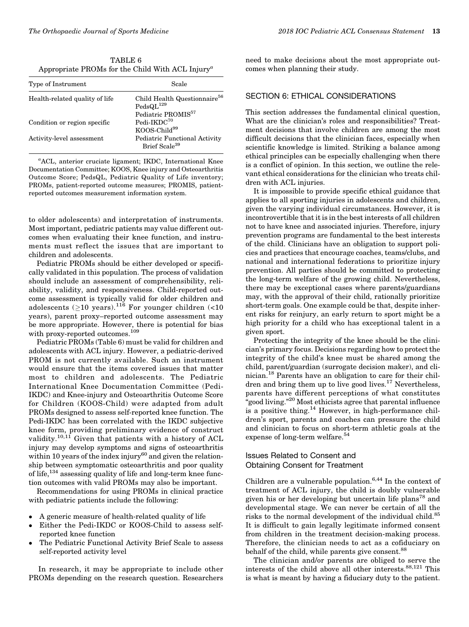TABLE 6 Appropriate PROMs for the Child With ACL Injury<sup> $a$ </sup>

| Type of Instrument             | Scale                                                                                        |
|--------------------------------|----------------------------------------------------------------------------------------------|
| Health-related quality of life | Child Health Questionnaire <sup>56</sup><br>$PedsQL^{129}$<br>Pediatric PROMIS <sup>57</sup> |
| Condition or region specific   | Pedi-IKDC <sup>70</sup><br>$KOOS-Child99$                                                    |
| Activity-level assessment      | Pediatric Functional Activity<br>Brief Scale <sup>39</sup>                                   |

a ACL, anterior cruciate ligament; IKDC, International Knee Documentation Committee; KOOS, Knee injury and Osteoarthritis Outcome Score; PedsQL, Pediatric Quality of Life inventory; PROMs, patient-reported outcome measures; PROMIS, patientreported outcomes measurement information system.

to older adolescents) and interpretation of instruments. Most important, pediatric patients may value different outcomes when evaluating their knee function, and instruments must reflect the issues that are important to children and adolescents.

Pediatric PROMs should be either developed or specifically validated in this population. The process of validation should include an assessment of comprehensibility, reliability, validity, and responsiveness. Child-reported outcome assessment is typically valid for older children and adolescents ( $\geq$ 10 years).<sup>116</sup> For younger children (<10 years), parent proxy–reported outcome assessment may be more appropriate. However, there is potential for bias with proxy-reported outcomes.<sup>109</sup>

Pediatric PROMs (Table 6) must be valid for children and adolescents with ACL injury. However, a pediatric-derived PROM is not currently available. Such an instrument would ensure that the items covered issues that matter most to children and adolescents. The Pediatric International Knee Documentation Committee (Pedi-IKDC) and Knee-injury and Osteoarthritis Outcome Score for Children (KOOS-Child) were adapted from adult PROMs designed to assess self-reported knee function. The Pedi-IKDC has been correlated with the IKDC subjective knee form, providing preliminary evidence of construct validity.<sup>10,11</sup> Given that patients with a history of ACL injury may develop symptoms and signs of osteoarthritis within 10 years of the index injury<sup>60</sup> and given the relationship between symptomatic osteoarthritis and poor quality of life,<sup>134</sup> assessing quality of life and long-term knee function outcomes with valid PROMs may also be important.

Recommendations for using PROMs in clinical practice with pediatric patients include the following:

- $\bullet$ A generic measure of health-related quality of life
- $\bullet$  Either the Pedi-IKDC or KOOS-Child to assess selfreported knee function
- $\bullet$  The Pediatric Functional Activity Brief Scale to assess self-reported activity level

In research, it may be appropriate to include other PROMs depending on the research question. Researchers need to make decisions about the most appropriate outcomes when planning their study.

# SECTION 6: ETHICAL CONSIDERATIONS

This section addresses the fundamental clinical question, What are the clinician's roles and responsibilities? Treatment decisions that involve children are among the most difficult decisions that the clinician faces, especially when scientific knowledge is limited. Striking a balance among ethical principles can be especially challenging when there is a conflict of opinion. In this section, we outline the relevant ethical considerations for the clinician who treats children with ACL injuries.

It is impossible to provide specific ethical guidance that applies to all sporting injuries in adolescents and children, given the varying individual circumstances. However, it is incontrovertible that it is in the best interests of all children not to have knee and associated injuries. Therefore, injury prevention programs are fundamental to the best interests of the child. Clinicians have an obligation to support policies and practices that encourage coaches, teams/clubs, and national and international federations to prioritize injury prevention. All parties should be committed to protecting the long-term welfare of the growing child. Nevertheless, there may be exceptional cases where parents/guardians may, with the approval of their child, rationally prioritize short-term goals. One example could be that, despite inherent risks for reinjury, an early return to sport might be a high priority for a child who has exceptional talent in a given sport.

Protecting the integrity of the knee should be the clinician's primary focus. Decisions regarding how to protect the integrity of the child's knee must be shared among the child, parent/guardian (surrogate decision maker), and clinician.<sup>18</sup> Parents have an obligation to care for their children and bring them up to live good lives.<sup>17</sup> Nevertheless, parents have different perceptions of what constitutes "good living."<sup>20</sup> Most ethicists agree that parental influence is a positive thing.<sup>14</sup> However, in high-performance children's sport, parents and coaches can pressure the child and clinician to focus on short-term athletic goals at the expense of long-term welfare.<sup>54</sup>

## Issues Related to Consent and Obtaining Consent for Treatment

Children are a vulnerable population.<sup>6,44</sup> In the context of treatment of ACL injury, the child is doubly vulnerable given his or her developing but uncertain life plans<sup>78</sup> and developmental stage. We can never be certain of all the risks to the normal development of the individual child.<sup>85</sup> It is difficult to gain legally legitimate informed consent from children in the treatment decision-making process. Therefore, the clinician needs to act as a cofiduciary on behalf of the child, while parents give consent.<sup>88</sup>

The clinician and/or parents are obliged to serve the interests of the child above all other interests. $88,121$  This is what is meant by having a fiduciary duty to the patient.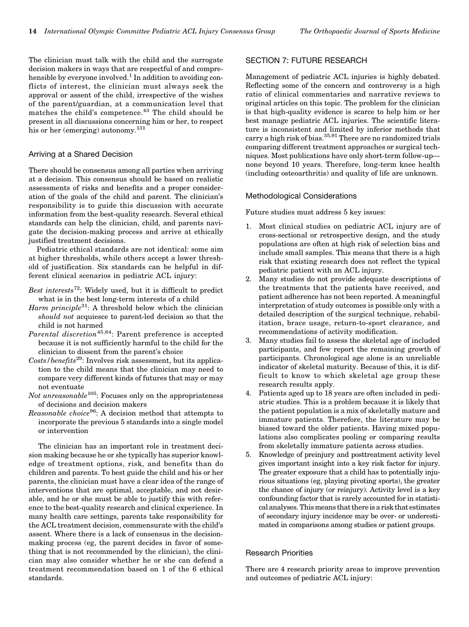The clinician must talk with the child and the surrogate decision makers in ways that are respectful of and comprehensible by everyone involved.<sup>1</sup> In addition to avoiding conflicts of interest, the clinician must always seek the approval or assent of the child, irrespective of the wishes of the parent/guardian, at a communication level that matches the child's competence.<sup>43</sup> The child should be present in all discussions concerning him or her, to respect his or her (emerging) autonomy.<sup>131</sup>

#### Arriving at a Shared Decision

There should be consensus among all parties when arriving at a decision. This consensus should be based on realistic assessments of risks and benefits and a proper consideration of the goals of the child and parent. The clinician's responsibility is to guide this discussion with accurate information from the best-quality research. Several ethical standards can help the clinician, child, and parents navigate the decision-making process and arrive at ethically justified treatment decisions.

Pediatric ethical standards are not identical: some aim at higher thresholds, while others accept a lower threshold of justification. Six standards can be helpful in different clinical scenarios in pediatric ACL injury:

- Best interests<sup>72</sup>: Widely used, but it is difficult to predict what is in the best long-term interests of a child
- Harm principle<sup>31</sup>: A threshold below which the clinician should not acquiesce to parent-led decision so that the child is not harmed
- Parental discretion<sup>45,64</sup>: Parent preference is accepted because it is not sufficiently harmful to the child for the clinician to dissent from the parent's choice
- Costs/benefits<sup>29</sup>: Involves risk assessment, but its application to the child means that the clinician may need to compare very different kinds of futures that may or may not eventuate
- Not unreasonable<sup>105</sup>: Focuses only on the appropriateness of decisions and decision makers
- Reasonable choice<sup>96</sup>: A decision method that attempts to incorporate the previous 5 standards into a single model or intervention

The clinician has an important role in treatment decision making because he or she typically has superior knowledge of treatment options, risk, and benefits than do children and parents. To best guide the child and his or her parents, the clinician must have a clear idea of the range of interventions that are optimal, acceptable, and not desirable, and he or she must be able to justify this with reference to the best-quality research and clinical experience. In many health care settings, parents take responsibility for the ACL treatment decision, commensurate with the child's assent. Where there is a lack of consensus in the decisionmaking process (eg, the parent decides in favor of something that is not recommended by the clinician), the clinician may also consider whether he or she can defend a treatment recommendation based on 1 of the 6 ethical standards.

## SECTION 7: FUTURE RESEARCH

Management of pediatric ACL injuries is highly debated. Reflecting some of the concern and controversy is a high ratio of clinical commentaries and narrative reviews to original articles on this topic. The problem for the clinician is that high-quality evidence is scarce to help him or her best manage pediatric ACL injuries. The scientific literature is inconsistent and limited by inferior methods that carry a high risk of bias.<sup>35,91</sup> There are no randomized trials comparing different treatment approaches or surgical techniques. Most publications have only short-term follow-up none beyond 10 years. Therefore, long-term knee health (including osteoarthritis) and quality of life are unknown.

#### Methodological Considerations

Future studies must address 5 key issues:

- 1. Most clinical studies on pediatric ACL injury are of cross-sectional or retrospective design, and the study populations are often at high risk of selection bias and include small samples. This means that there is a high risk that existing research does not reflect the typical pediatric patient with an ACL injury.
- 2. Many studies do not provide adequate descriptions of the treatments that the patients have received, and patient adherence has not been reported. A meaningful interpretation of study outcomes is possible only with a detailed description of the surgical technique, rehabilitation, brace usage, return-to-sport clearance, and recommendations of activity modification.
- 3. Many studies fail to assess the skeletal age of included participants, and few report the remaining growth of participants. Chronological age alone is an unreliable indicator of skeletal maturity. Because of this, it is difficult to know to which skeletal age group these research results apply.
- 4. Patients aged up to 18 years are often included in pediatric studies. This is a problem because it is likely that the patient population is a mix of skeletally mature and immature patients. Therefore, the literature may be biased toward the older patients. Having mixed populations also complicates pooling or comparing results from skeletally immature patients across studies.
- 5. Knowledge of preinjury and posttreatment activity level gives important insight into a key risk factor for injury. The greater exposure that a child has to potentially injurious situations (eg, playing pivoting sports), the greater the chance of injury (or reinjury). Activity level is a key confounding factor that is rarely accounted for in statistical analyses. This means that there is a risk that estimates of secondary injury incidence may be over- or underestimated in comparisons among studies or patient groups.

#### Research Priorities

There are 4 research priority areas to improve prevention and outcomes of pediatric ACL injury: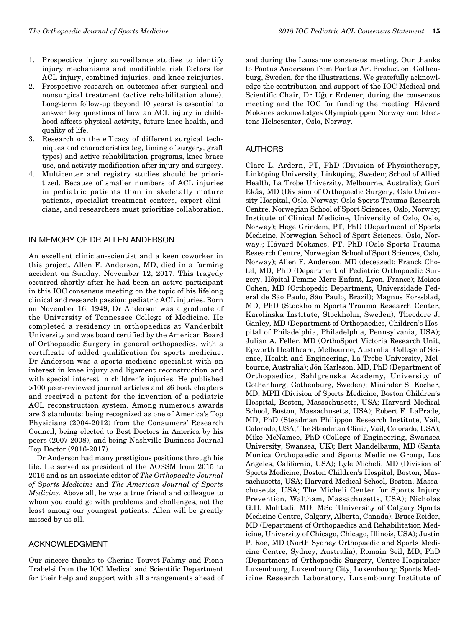- 1. Prospective injury surveillance studies to identify injury mechanisms and modifiable risk factors for ACL injury, combined injuries, and knee reinjuries.
- 2. Prospective research on outcomes after surgical and nonsurgical treatment (active rehabilitation alone). Long-term follow-up (beyond 10 years) is essential to answer key questions of how an ACL injury in childhood affects physical activity, future knee health, and quality of life.
- 3. Research on the efficacy of different surgical techniques and characteristics (eg, timing of surgery, graft types) and active rehabilitation programs, knee brace use, and activity modification after injury and surgery.
- 4. Multicenter and registry studies should be prioritized. Because of smaller numbers of ACL injuries in pediatric patients than in skeletally mature patients, specialist treatment centers, expert clinicians, and researchers must prioritize collaboration.

## IN MEMORY OF DR ALLEN ANDERSON

An excellent clinician-scientist and a keen coworker in this project, Allen F. Anderson, MD, died in a farming accident on Sunday, November 12, 2017. This tragedy occurred shortly after he had been an active participant in this IOC consensus meeting on the topic of his lifelong clinical and research passion: pediatric ACL injuries. Born on November 16, 1949, Dr Anderson was a graduate of the University of Tennessee College of Medicine. He completed a residency in orthopaedics at Vanderbilt University and was board certified by the American Board of Orthopaedic Surgery in general orthopaedics, with a certificate of added qualification for sports medicine. Dr Anderson was a sports medicine specialist with an interest in knee injury and ligament reconstruction and with special interest in children's injuries. He published >100 peer-reviewed journal articles and 26 book chapters and received a patent for the invention of a pediatric ACL reconstruction system. Among numerous awards are 3 standouts: being recognized as one of America's Top Physicians (2004-2012) from the Consumers' Research Council, being elected to Best Doctors in America by his peers (2007-2008), and being Nashville Business Journal Top Doctor (2016-2017).

Dr Anderson had many prestigious positions through his life. He served as president of the AOSSM from 2015 to 2016 and as an associate editor of The Orthopaedic Journal of Sports Medicine and The American Journal of Sports Medicine. Above all, he was a true friend and colleague to whom you could go with problems and challenges, not the least among our youngest patients. Allen will be greatly missed by us all.

## ACKNOWLEDGMENT

Our sincere thanks to Cherine Touvet-Fahmy and Fiona Trabelsi from the IOC Medical and Scientific Department for their help and support with all arrangements ahead of and during the Lausanne consensus meeting. Our thanks to Pontus Andersson from Pontus Art Production, Gothenburg, Sweden, for the illustrations. We gratefully acknowledge the contribution and support of the IOC Medical and Scientific Chair, Dr Uğur Erdener, during the consensus meeting and the IOC for funding the meeting. Håvard Moksnes acknowledges Olympiatoppen Norway and Idrettens Helsesenter, Oslo, Norway.

## AUTHORS

Clare L. Ardern, PT, PhD (Division of Physiotherapy, Linköping University, Linköping, Sweden; School of Allied Health, La Trobe University, Melbourne, Australia); Guri Ekås, MD (Division of Orthopaedic Surgery, Oslo University Hospital, Oslo, Norway; Oslo Sports Trauma Research Centre, Norwegian School of Sport Sciences, Oslo, Norway; Institute of Clinical Medicine, University of Oslo, Oslo, Norway); Hege Grindem, PT, PhD (Department of Sports Medicine, Norwegian School of Sport Sciences, Oslo, Norway); Håvard Moksnes, PT, PhD (Oslo Sports Trauma Research Centre, Norwegian School of Sport Sciences, Oslo, Norway); Allen F. Anderson, MD (deceased); Franck Chotel, MD, PhD (Department of Pediatric Orthopaedic Surgery, Hôpital Femme Mere Enfant, Lyon, France); Moises Cohen, MD (Orthopedic Department, Universidade Federal de São Paulo, São Paulo, Brazil); Magnus Forssblad, MD, PhD (Stockholm Sports Trauma Research Center, Karolinska Institute, Stockholm, Sweden); Theodore J. Ganley, MD (Department of Orthopaedics, Children's Hospital of Philadelphia, Philadelphia, Pennsylvania, USA); Julian A. Feller, MD (OrthoSport Victoria Research Unit, Epworth Healthcare, Melbourne, Australia; College of Science, Health and Engineering, La Trobe University, Melbourne, Australia); Jón Karlsson, MD, PhD (Department of Orthopaedics, Sahlgrenska Academy, University of Gothenburg, Gothenburg, Sweden); Mininder S. Kocher, MD, MPH (Division of Sports Medicine, Boston Children's Hospital, Boston, Massachusetts, USA; Harvard Medical School, Boston, Massachusetts, USA); Robert F. LaPrade, MD, PhD (Steadman Philippon Research Institute, Vail, Colorado, USA; The Steadman Clinic, Vail, Colorado, USA); Mike McNamee, PhD (College of Engineering, Swansea University, Swansea, UK); Bert Mandelbaum, MD (Santa Monica Orthopaedic and Sports Medicine Group, Los Angeles, California, USA); Lyle Micheli, MD (Division of Sports Medicine, Boston Children's Hospital, Boston, Massachusetts, USA; Harvard Medical School, Boston, Massachusetts, USA; The Micheli Center for Sports Injury Prevention, Waltham, Massachusetts, USA); Nicholas G.H. Mohtadi, MD, MSc (University of Calgary Sports Medicine Centre, Calgary, Alberta, Canada); Bruce Reider, MD (Department of Orthopaedics and Rehabilitation Medicine, University of Chicago, Chicago, Illinois, USA); Justin P. Roe, MD (North Sydney Orthopaedic and Sports Medicine Centre, Sydney, Australia); Romain Seil, MD, PhD (Department of Orthopaedic Surgery, Centre Hospitalier Luxembourg, Luxembourg City, Luxembourg; Sports Medicine Research Laboratory, Luxembourg Institute of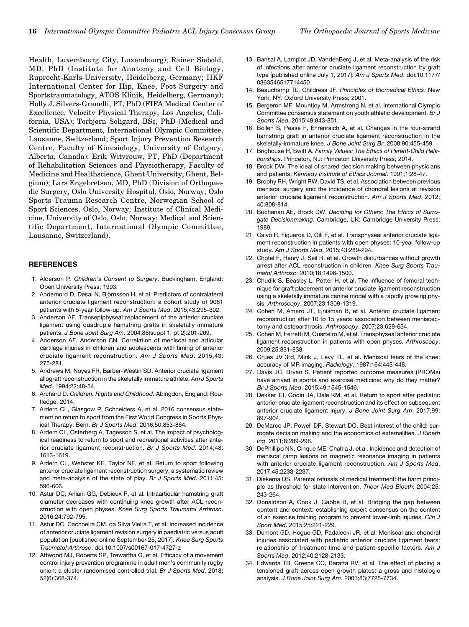Health, Luxembourg City, Luxembourg); Rainer Siebold, MD, PhD (Institute for Anatomy and Cell Biology, Ruprecht-Karls-University, Heidelberg, Germany; HKF International Center for Hip, Knee, Foot Surgery and Sportstraumatology, ATOS Klinik, Heidelberg, Germany); Holly J. Silvers-Granelli, PT, PhD (FIFA Medical Center of Excellence, Velocity Physical Therapy, Los Angeles, California, USA); Torbjørn Soligard, BSc, PhD (Medical and Scientific Department, International Olympic Committee, Lausanne, Switzerland; Sport Injury Prevention Research Centre, Faculty of Kinesiology, University of Calgary, Alberta, Canada); Erik Witvrouw, PT, PhD (Department of Rehabilitation Sciences and Physiotherapy, Faculty of Medicine and Healthscience, Ghent University, Ghent, Belgium); Lars Engebretsen, MD, PhD (Division of Orthopaedic Surgery, Oslo University Hospital, Oslo, Norway; Oslo Sports Trauma Research Centre, Norwegian School of Sport Sciences, Oslo, Norway; Institute of Clinical Medicine, University of Oslo, Oslo, Norway; Medical and Scientific Department, International Olympic Committee, Lausanne, Switzerland).

#### **REFERENCES**

- 1. Alderson P. Children's Consent to Surgery. Buckingham, England: Open University Press; 1993.
- 2. Andernord D, Desai N, Björnsson H, et al. Predictors of contralateral anterior cruciate ligament reconstruction: a cohort study of 9061 patients with 5-year follow-up. Am J Sports Med. 2015;43:295-302.
- 3. Anderson AF. Transepiphyseal replacement of the anterior cruciate ligament using quadruple hamstring grafts in skeletally immature patients. J Bone Joint Surg Am. 2004;86(suppl 1, pt 2):201-209.
- 4. Anderson AF, Anderson CN. Correlation of meniscal and articular cartilage injuries in children and adolescents with timing of anterior cruciate ligament reconstruction. Am J Sports Med. 2015;43: 275-281.
- 5. Andrews M, Noyes FR, Barber-Westin SD. Anterior cruciate ligament allograft reconstruction in the skeletally immature athlete. Am J Sports Med. 1994;22:48-54.
- 6. Archard D. Children: Rights and Childhood. Abingdon, England: Routledge; 2014.
- 7. Ardern CL, Glasgow P, Schneiders A, et al. 2016 consensus statement on return to sport from the First World Congress in Sports Physical Therapy, Bern. Br J Sports Med. 2016;50:853-864.
- 8. Ardern CL, Österberg A, Tagesson S, et al. The impact of psychological readiness to return to sport and recreational activities after anterior cruciate ligament reconstruction. Br J Sports Med. 2014;48: 1613-1619.
- 9. Ardern CL, Webster KE, Taylor NF, et al. Return to sport following anterior cruciate ligament reconstruction surgery: a systematic review and meta-analysis of the state of play. Br J Sports Med. 2011;45: 596-606.
- 10. Astur DC, Arliani GG, Debieux P, et al. Intraarticular hamstring graft diameter decreases with continuing knee growth after ACL reconstruction with open physes. Knee Surg Sports Traumatol Arthrosc. 2016;24:792-795.
- 11. Astur DC, Cachoeira CM, da Silva Vieira T, et al. Increased incidence of anterior cruciate ligament revision surgery in paediatric versus adult population [published online September 25, 2017]. Knee Surg Sports Traumatol Arthrosc. doi:10.1007/s00167-017-4727-z
- 12. Attwood MJ, Roberts SP, Trewartha G, et al. Efficacy of a movement control injury prevention programme in adult men's community rugby union: a cluster randomised controlled trial. Br J Sports Med. 2018; 52(6):368-374.
- 13. Bansal A, Lamplot JD, VandenBerg J, et al. Meta-analysis of the risk of infections after anterior cruciate ligament reconstruction by graft type [published online July 1, 2017]. Am J Sports Med. doi:10.1177/ 0363546517714450
- 14. Beauchamp TL, Childress JF. Principles of Biomedical Ethics. New York, NY: Oxford University Press; 2001.
- 15. Bergeron MF, Mountjoy M, Armstrong N, et al. International Olympic Committee consensus statement on youth athletic development. Br J Sports Med. 2015;49:843-851.
- 16. Bollen S, Pease F, Ehrenraich A, et al. Changes in the four-strand hamstring graft in anterior cruciate ligament reconstruction in the skeletally-immature knee. J Bone Joint Surg Br. 2008;90:455-459.
- 17. Brighouse H, Swift A. Family Values: The Ethics of Parent-Child Relationships. Princeton, NJ: Princeton University Press; 2014.
- 18. Brock DW. The ideal of shared decision making between physicians and patients. Kennedy Institute of Ethics Journal. 1991;1:28-47.
- 19. Brophy RH, Wright RW, David TS, et al. Association between previous meniscal surgery and the incidence of chondral lesions at revision anterior cruciate ligament reconstruction. Am J Sports Med. 2012; 40:808-814.
- 20. Buchanan AE, Brock DW. Deciding for Others: The Ethics of Surrogate Decisionmaking. Cambridge, UK: Cambridge University Press; 1989.
- 21. Calvo R, Figueroa D, Gili F, et al. Transphyseal anterior cruciate ligament reconstruction in patients with open physes: 10-year follow-up study. Am J Sports Med. 2015;43:289-294.
- 22. Chotel F, Henry J, Seil R, et al. Growth disturbances without growth arrest after ACL reconstruction in children. Knee Surg Sports Traumatol Arthrosc. 2010;18:1496-1500.
- 23. Chudik S, Beasley L, Potter H, et al. The influence of femoral technique for graft placement on anterior cruciate ligament reconstruction using a skeletally immature canine model with a rapidly growing physis. Arthroscopy. 2007;23:1309-1319.
- 24. Cohen M, Amaro JT, Ejnisman B, et al. Anterior cruciate ligament reconstruction after 10 to 15 years: association between meniscectomy and osteoarthrosis. Arthroscopy. 2007;23:629-634.
- 25. Cohen M, Ferretti M, Quarteiro M, et al. Transphyseal anterior cruciate ligament reconstruction in patients with open physes. Arthroscopy. 2009;25:831-838.
- 26. Crues JV 3rd, Mink J, Levy TL, et al. Meniscal tears of the knee: accuracy of MR imaging. Radiology. 1987;164:445-448.
- 27. Davis JC, Bryan S. Patient reported outcome measures (PROMs) have arrived in sports and exercise medicine: why do they matter? Br J Sports Med. 2015;49:1545-1546.
- 28. Dekker TJ, Godin JA, Dale KM, et al. Return to sport after pediatric anterior cruciate ligament reconstruction and its effect on subsequent anterior cruciate ligament injury. J Bone Joint Surg Am. 2017;99: 897-904.
- 29. DeMarco JP, Powell DP, Stewart DO. Best interest of the child: surrogate decision making and the economics of externalities. J Bioeth Inq. 2011;8:289-298.
- 30. DePhillipo NN, Cinque ME, Chahla J, et al. Incidence and detection of meniscal ramp lesions on magnetic resonance imaging in patients with anterior cruciate ligament reconstruction. Am J Sports Med. 2017;45:2233-2237.
- 31. Diekema DS. Parental refusals of medical treatment: the harm principle as threshold for state intervention. Theor Med Bioeth. 2004;25: 243-264.
- 32. Donaldson A, Cook J, Gabbe B, et al. Bridging the gap between content and context: establishing expert consensus on the content of an exercise training program to prevent lower-limb injuries. Clin J Sport Med. 2015;25:221-229.
- 33. Dumont GD, Hogue GD, Padalecki JR, et al. Meniscal and chondral injuries associated with pediatric anterior cruciate ligament tears: relationship of treatment time and patient-specific factors. Am J Sports Med. 2012;40:2128-2133.
- 34. Edwards TB, Greene CC, Baratta RV, et al. The effect of placing a tensioned graft across open growth plates: a gross and histologic analysis. J Bone Joint Surg Am. 2001;83:7725-7734.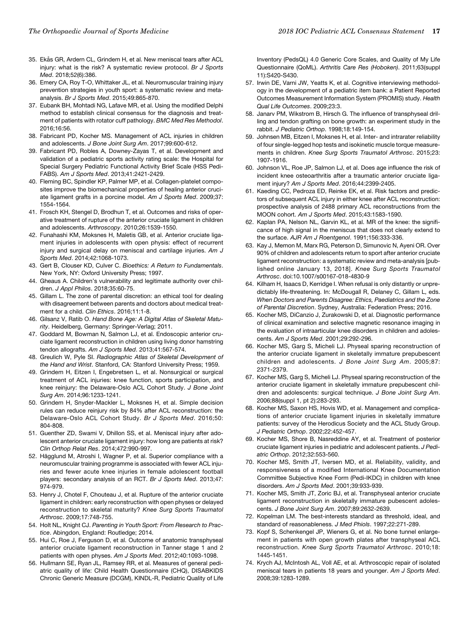- 35. Ekås GR, Ardern CL, Grindem H, et al. New meniscal tears after ACL injury: what is the risk? A systematic review protocol. Br J Sports Med. 2018;52(6):386.
- 36. Emery CA, Roy T-O, Whittaker JL, et al. Neuromuscular training injury prevention strategies in youth sport: a systematic review and metaanalysis. Br J Sports Med. 2015;49:865-870.
- 37. Eubank BH, Mohtadi NG, Lafave MR, et al. Using the modified Delphi method to establish clinical consensus for the diagnosis and treatment of patients with rotator cuff pathology. BMC Med Res Methodol. 2016;16:56.
- 38. Fabricant PD, Kocher MS. Management of ACL injuries in children and adolescents. J Bone Joint Surg Am. 2017;99:600-612.
- 39. Fabricant PD, Robles A, Downey-Zayas T, et al. Development and validation of a pediatric sports activity rating scale: the Hospital for Special Surgery Pediatric Functional Activity Brief Scale (HSS Pedi-FABS). Am J Sports Med. 2013;41:2421-2429.
- 40. Fleming BC, Spindler KP, Palmer MP, et al. Collagen-platelet composites improve the biomechanical properties of healing anterior cruciate ligament grafts in a porcine model. Am J Sports Med. 2009;37: 1554-1564.
- 41. Frosch KH, Stengel D, Brodhun T, et al. Outcomes and risks of operative treatment of rupture of the anterior cruciate ligament in children and adolescents. Arthroscopy. 2010;26:1539-1550.
- 42. Funahashi KM, Moksnes H, Maletis GB, et al. Anterior cruciate ligament injuries in adolescents with open physis: effect of recurrent injury and surgical delay on meniscal and cartilage injuries. Am J Sports Med. 2014;42:1068-1073.
- 43. Gert B, Clouser KD, Culver C. Bioethics: A Return to Fundamentals. New York, NY: Oxford University Press; 1997.
- 44. Gheaus A. Children's vulnerability and legitimate authority over children. J Appl Philos. 2018;35:60-75.
- 45. Gillam L. The zone of parental discretion: an ethical tool for dealing with disagreement between parents and doctors about medical treatment for a child. Clin Ethics. 2016;11:1-8.
- 46. Gilsanz V, Ratib O. Hand Bone Age: A Digital Atlas of Skeletal Maturity. Heidelberg, Germany: Springer-Verlag; 2011.
- 47. Goddard M, Bowman N, Salmon LJ, et al. Endoscopic anterior cruciate ligament reconstruction in children using living donor hamstring tendon allografts. Am J Sports Med. 2013;41:567-574.
- 48. Greulich W, Pyle SI. Radiographic Atlas of Skeletal Development of the Hand and Wrist. Stanford, CA: Stanford University Press; 1959.
- 49. Grindem H, Eitzen I, Engebretsen L, et al. Nonsurgical or surgical treatment of ACL injuries: knee function, sports participation, and knee reinjury: the Delaware-Oslo ACL Cohort Study. J Bone Joint Surg Am. 2014;96:1233-1241.
- 50. Grindem H, Snyder-Mackler L, Moksnes H, et al. Simple decision rules can reduce reinjury risk by 84% after ACL reconstruction: the Delaware-Oslo ACL Cohort Study. Br J Sports Med. 2016;50: 804-808.
- 51. Guenther ZD, Swami V, Dhillon SS, et al. Meniscal injury after adolescent anterior cruciate ligament injury: how long are patients at risk? Clin Orthop Relat Res. 2014;472:990-997.
- 52. Hägglund M, Atroshi I, Wagner P, et al. Superior compliance with a neuromuscular training programme is associated with fewer ACL injuries and fewer acute knee injuries in female adolescent football players: secondary analysis of an RCT. Br J Sports Med. 2013;47: 974-979.
- 53. Henry J, Chotel F, Chouteau J, et al. Rupture of the anterior cruciate ligament in children: early reconstruction with open physes or delayed reconstruction to skeletal maturity? Knee Surg Sports Traumatol Arthrosc. 2009;17:748-755.
- 54. Holt NL, Knight CJ. Parenting in Youth Sport: From Research to Practice. Abingdon, England: Routledge; 2014.
- 55. Hui C, Roe J, Ferguson D, et al. Outcome of anatomic transphyseal anterior cruciate ligament reconstruction in Tanner stage 1 and 2 patients with open physes. Am J Sports Med. 2012;40:1093-1098.
- 56. Hullmann SE, Ryan JL, Ramsey RR, et al. Measures of general pediatric quality of life: Child Health Questionnaire (CHQ), DISABKIDS Chronic Generic Measure (DCGM), KINDL-R, Pediatric Quality of Life

Inventory (PedsQL) 4.0 Generic Core Scales, and Quality of My Life Questionnaire (QoML). Arthritis Care Res (Hoboken). 2011;63(suppl 11):S420-S430.

- 57. Irwin DE, Varni JW, Yeatts K, et al. Cognitive interviewing methodology in the development of a pediatric item bank: a Patient Reported Outcomes Measurement Information System (PROMIS) study. Health Qual Life Outcomes. 2009;23:3.
- 58. Janarv PM, Wikstrom B, Hirsch G. The influence of transphyseal drilling and tendon grafting on bone growth: an experiment study in the rabbit. J Pediatric Orthop. 1998;18:149-154.
- 59. Johnsen MB, Eitzen I, Moksnes H, et al. Inter- and intrarater reliability of four single-legged hop tests and isokinetic muscle torque measurements in children. Knee Surg Sports Traumatol Arthrosc. 2015;23: 1907-1916.
- 60. Johnson VL, Roe JP, Salmon LJ, et al. Does age influence the risk of incident knee osteoarthritis after a traumatic anterior cruciate ligament injury? Am J Sports Med. 2016;44:2399-2405.
- 61. Kaeding CC, Pedroza ED, Reinke EK, et al. Risk factors and predictors of subsequent ACL injury in either knee after ACL reconstruction: prospective analysis of 2488 primary ACL reconstructions from the MOON cohort. Am J Sports Med. 2015;43:1583-1590.
- 62. Kaplan PA, Nelson NL, Garvin KL, et al. MR of the knee: the significance of high signal in the meniscus that does not clearly extend to the surface. AJR Am J Roentgenol. 1991;156:333-336.
- 63. Kay J, Memon M, Marx RG, Peterson D, Simunovic N, Ayeni OR. Over 90% of children and adolescents return to sport after anterior cruciate ligament reconstruction: a systematic review and meta-analysis [published online January 13, 2018]. Knee Surg Sports Traumatol Arthrosc. doi:10.1007/s00167-018-4830-9
- 64. Kilham H, Isaacs D, Kerridge I. When refusal is only distantly or unpredictably life-threatening. In: McDougall R, Delaney C, Gillam L, eds. When Doctors and Parents Disagree: Ethics, Paediatrics and the Zone of Parental Discretion. Sydney, Australia: Federation Press; 2016.
- 65. Kocher MS, DiCanzio J, Zurakowski D, et al. Diagnostic performance of clinical examination and selective magnetic resonance imaging in the evaluation of intraarticular knee disorders in children and adolescents. Am J Sports Med. 2001;29:292-296.
- 66. Kocher MS, Garg S, Micheli LJ. Physeal sparing reconstruction of the anterior cruciate ligament in skeletally immature prepubescent children and adolescents. J Bone Joint Surg Am. 2005;87: 2371-2379.
- 67. Kocher MS, Garg S, Micheli LJ. Physeal sparing reconstruction of the anterior cruciate ligament in skeletally immature prepubescent children and adolescents: surgical technique. J Bone Joint Surg Am. 2006;88(suppl 1, pt 2):283-293.
- 68. Kocher MS, Saxon HS, Hovis WD, et al. Management and complications of anterior cruciate ligament injuries in skeletally immature patients: survey of the Herodicus Society and the ACL Study Group. J Pediatric Orthop. 2002;22:452-457.
- 69. Kocher MS, Shore B, Nasreddine AY, et al. Treatment of posterior cruciate ligament injuries in pediatric and adolescent patients. J Pediatric Orthop. 2012;32:553-560.
- 70. Kocher MS, Smith JT, Iversen MD, et al. Reliability, validity, and responsiveness of a modified International Knee Documentation Committee Subjective Knee Form (Pedi-IKDC) in children with knee disorders. Am J Sports Med. 2001;39:933-939.
- 71. Kocher MS, Smith JT, Zoric BJ, et al. Transphyseal anterior cruciate ligament reconstruction in skeletally immature pubescent adolescents. J Bone Joint Surg Am. 2007;89:2632-2639.
- 72. Kopelman LM. The best-interests standard as threshold, ideal, and standard of reasonableness. J Med Phiols. 1997;22:271-289.
- 73. Kopf S, Schenkengel JP, Wieners G, et al. No bone tunnel enlargement in patients with open growth plates after transphyseal ACL reconstruction. Knee Surg Sports Traumatol Arthrosc. 2010;18: 1445-1451.
- 74. Krych AJ, McIntosh AL, Voll AE, et al. Arthroscopic repair of isolated meniscal tears in patients 18 years and younger. Am J Sports Med. 2008;39:1283-1289.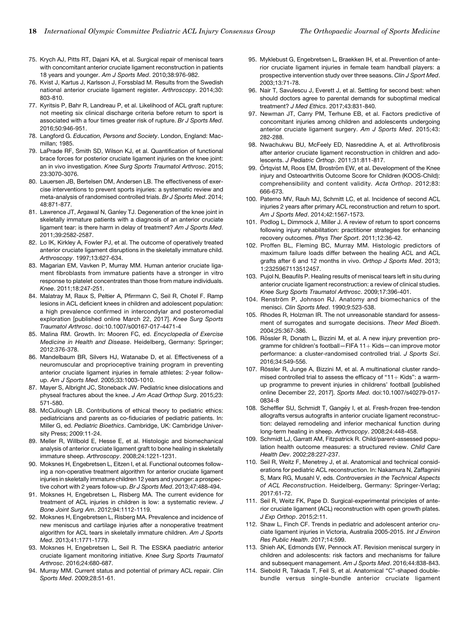- 75. Krych AJ, Pitts RT, Dajani KA, et al. Surgical repair of meniscal tears with concomitant anterior cruciate ligament reconstruction in patients 18 years and younger. Am J Sports Med. 2010;38:976-982.
- 76. Kvist J, Kartus J, Karlsson J, Forssblad M. Results from the Swedish national anterior cruciate ligament register. Arthroscopy. 2014;30: 803-810.
- 77. Kyritsis P, Bahr R, Landreau P, et al. Likelihood of ACL graft rupture: not meeting six clinical discharge criteria before return to sport is associated with a four times greater risk of rupture. Br J Sports Med. 2016;50:946-951.
- 78. Langford G. Education, Persons and Society. London, England: Macmillan; 1985.
- 79. LaPrade RF, Smith SD, Wilson KJ, et al. Quantification of functional brace forces for posterior cruciate ligament injuries on the knee joint: an in vivo investigation. Knee Surg Sports Traumatol Arthrosc. 2015; 23:3070-3076.
- 80. Lauersen JB, Bertelsen DM, Andersen LB. The effectiveness of exercise interventions to prevent sports injuries: a systematic review and meta-analysis of randomised controlled trials. Br J Sports Med. 2014; 48:871-877.
- 81. Lawrence JT, Argawal N, Ganley TJ. Degeneration of the knee joint in skeletally immature patients with a diagnosis of an anterior cruciate ligament tear: is there harm in delay of treatment? Am J Sports Med. 2011;39:2582-2587.
- 82. Lo IK, Kirkley A, Fowler PJ, et al. The outcome of operatively treated anterior cruciate ligament disruptions in the skeletally immature child. Arthroscopy. 1997;13:627-634.
- 83. Magarian EM, Vavken P, Murray MM. Human anterior cruciate ligament fibroblasts from immature patients have a stronger in vitro response to platelet concentrates than those from mature individuals. Knee. 2011;18:247-251.
- 84. Malatray M, Raux S, Peltier A, Pfirrmann C, Seil R, Chotel F. Ramp lesions in ACL deficient knees in children and adolescent population: a high prevalence confirmed in intercondylar and posteromedial exploration [published online March 22, 2017]. Knee Surg Sports Traumatol Arthrosc. doi:10.1007/s00167-017-4471-4
- 85. Malina RM. Growth. In: Mooren FC, ed. Encyclopedia of Exercise Medicine in Health and Disease. Heidelberg, Germany: Springer; 2012:376-378.
- 86. Mandelbaum BR, Silvers HJ, Watanabe D, et al. Effectiveness of a neuromuscular and proprioceptive training program in preventing anterior cruciate ligament injuries in female athletes: 2-year followup. Am J Sports Med. 2005;33:1003-1010.
- 87. Mayer S, Albright JC, Stoneback JW. Pediatric knee dislocations and physeal fractures about the knee. J Am Acad Orthop Surg. 2015;23: 571-580.
- 88. McCullough LB. Contributions of ethical theory to pediatric ethics: pediatricians and parents as co-fiduciaries of pediatric patients. In: Miller G, ed. Pediatric Bioethics. Cambridge, UK: Cambridge University Press; 2009:11-24.
- 89. Meller R, Willbold E, Hesse E, et al. Histologic and biomechanical analysis of anterior cruciate ligament graft to bone healing in skeletally immature sheep. Arthroscopy. 2008;24:1221-1231.
- 90. Moksnes H, Engebretsen L, Eitzen I, et al. Functional outcomes following a non-operative treatment algorithm for anterior cruciate ligament injuries in skeletally immature children 12 years and younger: a prospective cohort with 2 years follow-up. Br J Sports Med. 2013;47:488-494.
- 91. Moksnes H, Engebretsen L, Risberg MA. The current evidence for treatment of ACL injuries in children is low: a systematic review. J Bone Joint Surg Am. 2012;94:1112-1119.
- 92. Moksnes H, Engebretsen L, Risberg MA. Prevalence and incidence of new meniscus and cartilage injuries after a nonoperative treatment algorithm for ACL tears in skeletally immature children. Am J Sports Med. 2013;41:1771-1779.
- 93. Moksnes H, Engebretsen L, Seil R. The ESSKA paediatric anterior cruciate ligament monitoring initiative. Knee Surg Sports Traumatol Arthrosc. 2016;24:680-687.
- 94. Murray MM. Current status and potential of primary ACL repair. Clin Sports Med. 2009;28:51-61.
- 95. Myklebust G, Engebretsen L, Braekken IH, et al. Prevention of anterior cruciate ligament injuries in female team handball players: a prospective intervention study over three seasons. Clin J Sport Med. 2003;13:71-78.
- 96. Nair T, Savulescu J, Everett J, et al. Settling for second best: when should doctors agree to parental demands for suboptimal medical treatment? J Med Ethics. 2017;43:831-840.
- 97. Newman JT, Carry PM, Terhune EB, et al. Factors predictive of concomitant injuries among children and adolescents undergoing anterior cruciate ligament surgery. Am J Sports Med. 2015;43: 282-288.
- 98. Nwachukwu BU, McFeely ED, Nasreddine A, et al. Arthrofibrosis after anterior cruciate ligament reconstruction in children and adolescents. J Pediatric Orthop. 2011;31:811-817.
- 99. Örtqvist M, Roos EM, Broström EW, et al. Development of the Knee injury and Osteoarthritis Outcome Score for Children (KOOS-Child): comprehensibility and content validity. Acta Orthop. 2012;83: 666-673.
- 100. Paterno MV, Rauh MJ, Schmitt LC, et al. Incidence of second ACL injuries 2 years after primary ACL reconstruction and return to sport. Am J Sports Med. 2014;42:1567-1573.
- 101. Podlog L, Dimmock J, Miller J. A review of return to sport concerns following injury rehabilitation: practitioner strategies for enhancing recovery outcomes. Phys Ther Sport. 2011;12:36-42.
- 102. Proffen BL, Fleming BC, Murray MM. Histologic predictors of maximum failure loads differ between the healing ACL and ACL grafts after 6 and 12 months in vivo. Orthop J Sports Med. 2013; 1:2325967113512457.
- 103. Pujol N, Beaufils P. Healing results of meniscal tears left in situ during anterior cruciate ligament reconstruction: a review of clinical studies. Knee Surg Sports Traumatol Arthrosc. 2009;17:396-401.
- 104. Renström P, Johnson RJ. Anatomy and biomechanics of the menisci. Clin Sports Med. 1990;9:523-538.
- 105. Rhodes R, Holzman IR. The not unreasonable standard for assessment of surrogates and surrogate decisions. Theor Med Bioeth. 2004;25:367-386.
- 106. Rössler R, Donath L, Bizzini M, et al. A new injury prevention programme for children's football-FIFA  $11+$  Kids-can improve motor performance: a cluster-randomised controlled trial. J Sports Sci. 2016;34:549-556.
- 107. Rössler R, Junge A, Bizzini M, et al. A multinational cluster randomised controlled trial to assess the efficacy of " $11+$ Kids": a warmup programme to prevent injuries in childrens' football [published online December 22, 2017]. Sports Med. doi:10.1007/s40279-017- 0834-8
- 108. Scheffler SU, Schmidt T, Gangéy I, et al. Fresh-frozen free-tendon allografts versus autografts in anterior cruciate ligament reconstruction: delayed remodeling and inferior mechanical function during long-term healing in sheep. Arthroscopy. 2008;24:448-458.
- 109. Schmidt LJ, Garratt AM, Fitzpatrick R. Child/parent-assessed population health outcome measures: a structured review. Child Care Health Dev. 2002;28:227-237.
- 110. Seil R, Weitz F, Menetrey J, et al. Anatomical and technical considerations for pediatric ACL reconstruction. In: Nakamura N, Zaffagnini S, Marx RG, Musahl V, eds. Controversies in the Technical Aspects of ACL Reconstruction. Heidelberg, Germany: Springer-Verlag; 2017:61-72.
- 111. Seil R, Weitz FK, Pape D. Surgical-experimental principles of anterior cruciate ligament (ACL) reconstruction with open growth plates. J Exp Orthop. 2015;2:11.
- 112. Shaw L, Finch CF. Trends in pediatric and adolescent anterior cruciate ligament injuries in Victoria, Australia 2005-2015. Int J Environ Res Public Health. 2017;14:599.
- 113. Shieh AK, Edmonds EW, Pennock AT. Revision meniscal surgery in children and adolescents: risk factors and mechanisms for failure and subsequent management. Am J Sports Med. 2016;44:838-843.
- 114. Siebold R, Takada T, Feil S, et al. Anatomical "C"-shaped doublebundle versus single-bundle anterior cruciate ligament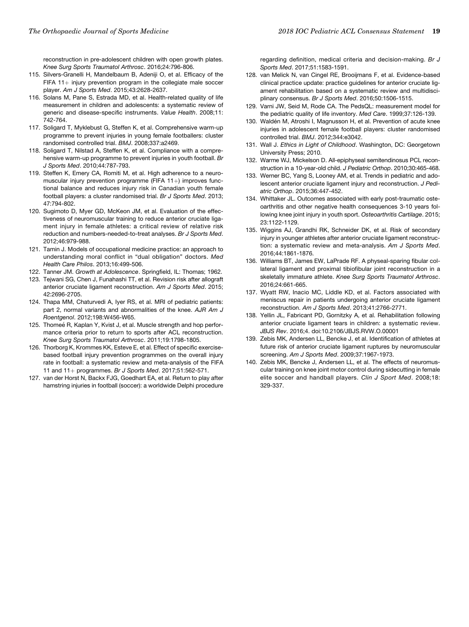reconstruction in pre-adolescent children with open growth plates. Knee Surg Sports Traumatol Arthrosc. 2016;24:796-806.

- 115. Silvers-Granelli H, Mandelbaum B, Adeniji O, et al. Efficacy of the FIFA 11 $+$  injury prevention program in the collegiate male soccer player. Am J Sports Med. 2015;43:2628-2637.
- 116. Solans M, Pane S, Estrada MD, et al. Health-related quality of life measurement in children and adolescents: a systematic review of generic and disease-specific instruments. Value Health. 2008;11: 742-764.
- 117. Soligard T, Myklebust G, Steffen K, et al. Comprehensive warm-up programme to prevent injuries in young female footballers: cluster randomised controlled trial. BMJ. 2008;337:a2469.
- 118. Soligard T, Nilstad A, Steffen K, et al. Compliance with a comprehensive warm-up programme to prevent injuries in youth football. Br J Sports Med. 2010;44:787-793.
- 119. Steffen K, Emery CA, Romiti M, et al. High adherence to a neuromuscular injury prevention programme (FIFA 11+) improves functional balance and reduces injury risk in Canadian youth female football players: a cluster randomised trial. Br J Sports Med. 2013; 47:794-802.
- 120. Sugimoto D, Myer GD, McKeon JM, et al. Evaluation of the effectiveness of neuromuscular training to reduce anterior cruciate ligament injury in female athletes: a critical review of relative risk reduction and numbers-needed-to-treat analyses. Br J Sports Med. 2012;46:979-988.
- 121. Tamin J. Models of occupational medicine practice: an approach to understanding moral conflict in "dual obligation" doctors. Med Health Care Philos. 2013;16:499-506.
- 122. Tanner JM. Growth at Adolescence. Springfield, IL: Thomas; 1962.
- 123. Tejwani SG, Chen J, Funahashi TT, et al. Revision risk after allograft anterior cruciate ligament reconstruction. Am J Sports Med. 2015; 42:2696-2705.
- 124. Thapa MM, Chaturvedi A, Iyer RS, et al. MRI of pediatric patients: part 2, normal variants and abnormalities of the knee. AJR Am J Roentgenol. 2012;198:W456-W65.
- 125. Thomeé R, Kaplan Y, Kvist J, et al. Muscle strength and hop performance criteria prior to return to sports after ACL reconstruction. Knee Surg Sports Traumatol Arthrosc. 2011;19:1798-1805.
- 126. Thorborg K, Krommes KK, Esteve E, et al. Effect of specific exercisebased football injury prevention programmes on the overall injury rate in football: a systematic review and meta-analysis of the FIFA 11 and  $11+$  programmes. Br J Sports Med. 2017;51:562-571.
- 127. van der Horst N, Backx FJG, Goedhart EA, et al. Return to play after hamstring injuries in football (soccer): a worldwide Delphi procedure

regarding definition, medical criteria and decision-making. Br J Sports Med. 2017;51:1583-1591.

- 128. van Melick N, van Cingel RE, Brooijmans F, et al. Evidence-based clinical practice update: practice guidelines for anterior cruciate ligament rehabilitation based on a systematic review and multidisciplinary consensus. Br J Sports Med. 2016;50:1506-1515.
- 129. Varni JW, Seid M, Rode CA. The PedsQL: measurement model for the pediatric quality of life inventory. Med Care. 1999;37:126-139.
- 130. Waldén M, Atroshi I, Magnusson H, et al. Prevention of acute knee injuries in adolescent female football players: cluster randomised controlled trial. BMJ. 2012;344:e3042.
- 131. Wall J. Ethics in Light of Childhood. Washington, DC: Georgetown University Press; 2010.
- 132. Warme WJ, Mickelson D. All-epiphyseal semitendinosus PCL reconstruction in a 10-year-old child. J Pediatric Orthop. 2010;30:465-468.
- 133. Werner BC, Yang S, Looney AM, et al. Trends in pediatric and adolescent anterior cruciate ligament injury and reconstruction. J Pediatric Orthop. 2015;36:447-452.
- 134. Whittaker JL. Outcomes associated with early post-traumatic osteoarthritis and other negative health consequences 3-10 years following knee joint injury in youth sport. Osteoarthritis Cartilage. 2015; 23:1122-1129.
- 135. Wiggins AJ, Grandhi RK, Schneider DK, et al. Risk of secondary injury in younger athletes after anterior cruciate ligament reconstruction: a systematic review and meta-analysis. Am J Sports Med. 2016;44:1861-1876.
- 136. Williams BT, James EW, LaPrade RF. A physeal-sparing fibular collateral ligament and proximal tibiofibular joint reconstruction in a skeletally immature athlete. Knee Surg Sports Traumatol Arthrosc. 2016;24:661-665.
- 137. Wyatt RW, Inacio MC, Liddle KD, et al. Factors associated with meniscus repair in patients undergoing anterior cruciate ligament reconstruction. Am J Sports Med. 2013;41:2766-2771.
- 138. Yellin JL, Fabricant PD, Gornitzky A, et al. Rehabilitation following anterior cruciate ligament tears in children: a systematic review. JBJS Rev. 2016;4. doi:10.2106/JBJS.RVW.O.00001
- 139. Zebis MK, Andersen LL, Bencke J, et al. Identification of athletes at future risk of anterior cruciate ligament ruptures by neuromuscular screening. Am J Sports Med. 2009;37:1967-1973.
- 140. Zebis MK, Bencke J, Andersen LL, et al. The effects of neuromuscular training on knee joint motor control during sidecutting in female elite soccer and handball players. Clin J Sport Med. 2008;18: 329-337.